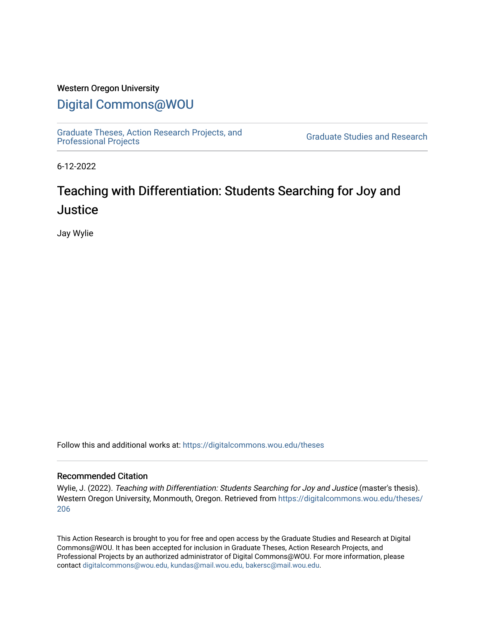### Western Oregon University

# [Digital Commons@WOU](https://digitalcommons.wou.edu/)

[Graduate Theses, Action Research Projects, and](https://digitalcommons.wou.edu/theses) 

**Graduate Studies and Research** 

6-12-2022

# Teaching with Differentiation: Students Searching for Joy and **Justice**

Jay Wylie

Follow this and additional works at: [https://digitalcommons.wou.edu/theses](https://digitalcommons.wou.edu/theses?utm_source=digitalcommons.wou.edu%2Ftheses%2F206&utm_medium=PDF&utm_campaign=PDFCoverPages) 

#### Recommended Citation

Wylie, J. (2022). Teaching with Differentiation: Students Searching for Joy and Justice (master's thesis). Western Oregon University, Monmouth, Oregon. Retrieved from [https://digitalcommons.wou.edu/theses/](https://digitalcommons.wou.edu/theses/206?utm_source=digitalcommons.wou.edu%2Ftheses%2F206&utm_medium=PDF&utm_campaign=PDFCoverPages) [206](https://digitalcommons.wou.edu/theses/206?utm_source=digitalcommons.wou.edu%2Ftheses%2F206&utm_medium=PDF&utm_campaign=PDFCoverPages) 

This Action Research is brought to you for free and open access by the Graduate Studies and Research at Digital Commons@WOU. It has been accepted for inclusion in Graduate Theses, Action Research Projects, and Professional Projects by an authorized administrator of Digital Commons@WOU. For more information, please contact [digitalcommons@wou.edu, kundas@mail.wou.edu, bakersc@mail.wou.edu](mailto:digitalcommons@wou.edu,%20kundas@mail.wou.edu,%20bakersc@mail.wou.edu).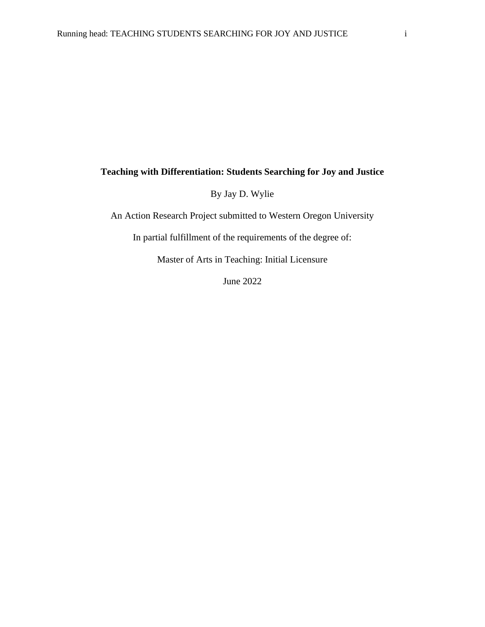### **Teaching with Differentiation: Students Searching for Joy and Justice**

By Jay D. Wylie

An Action Research Project submitted to Western Oregon University

In partial fulfillment of the requirements of the degree of:

Master of Arts in Teaching: Initial Licensure

June 2022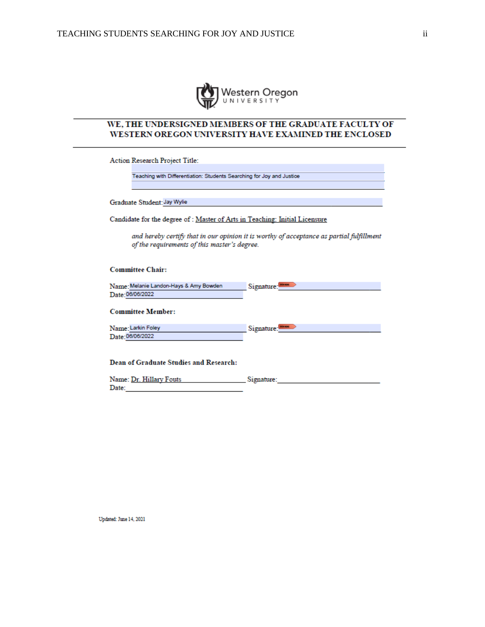

### WE, THE UNDERSIGNED MEMBERS OF THE GRADUATE FACULTY OF WESTERN OREGON UNIVERSITY HAVE EXAMINED THE ENCLOSED

Action Research Project Title:

Teaching with Differentiation: Students Searching for Joy and Justice

Graduate Student: Jay Wylie Change and Change and Change and Change and

Candidate for the degree of : Master of Arts in Teaching: Initial Licensure

and hereby certify that in our opinion it is worthy of acceptance as partial fulfillment of the requirements of this master's degree.

#### **Committee Chair:**

| Name: Melanie Landon-Hays & Amy Bowden | Signature: |
|----------------------------------------|------------|
| Date: 06/06/2022                       |            |

#### **Committee Member:**

| Name: Larkin Foley | Signature: |
|--------------------|------------|
| Date: 06/06/2022   |            |

**Dean of Graduate Studies and Research:** 

| Name: Dr. Hillary Fouts | Signature: |
|-------------------------|------------|
| Date:                   |            |

Updated: June 14, 2021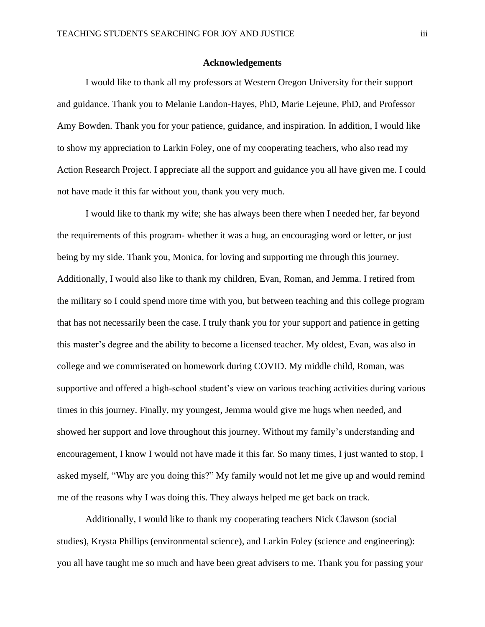#### **Acknowledgements**

I would like to thank all my professors at Western Oregon University for their support and guidance. Thank you to Melanie Landon-Hayes, PhD, Marie Lejeune, PhD, and Professor Amy Bowden. Thank you for your patience, guidance, and inspiration. In addition, I would like to show my appreciation to Larkin Foley, one of my cooperating teachers, who also read my Action Research Project. I appreciate all the support and guidance you all have given me. I could not have made it this far without you, thank you very much.

I would like to thank my wife; she has always been there when I needed her, far beyond the requirements of this program- whether it was a hug, an encouraging word or letter, or just being by my side. Thank you, Monica, for loving and supporting me through this journey. Additionally, I would also like to thank my children, Evan, Roman, and Jemma. I retired from the military so I could spend more time with you, but between teaching and this college program that has not necessarily been the case. I truly thank you for your support and patience in getting this master's degree and the ability to become a licensed teacher. My oldest, Evan, was also in college and we commiserated on homework during COVID. My middle child, Roman, was supportive and offered a high-school student's view on various teaching activities during various times in this journey. Finally, my youngest, Jemma would give me hugs when needed, and showed her support and love throughout this journey. Without my family's understanding and encouragement, I know I would not have made it this far. So many times, I just wanted to stop, I asked myself, "Why are you doing this?" My family would not let me give up and would remind me of the reasons why I was doing this. They always helped me get back on track.

Additionally, I would like to thank my cooperating teachers Nick Clawson (social studies), Krysta Phillips (environmental science), and Larkin Foley (science and engineering): you all have taught me so much and have been great advisers to me. Thank you for passing your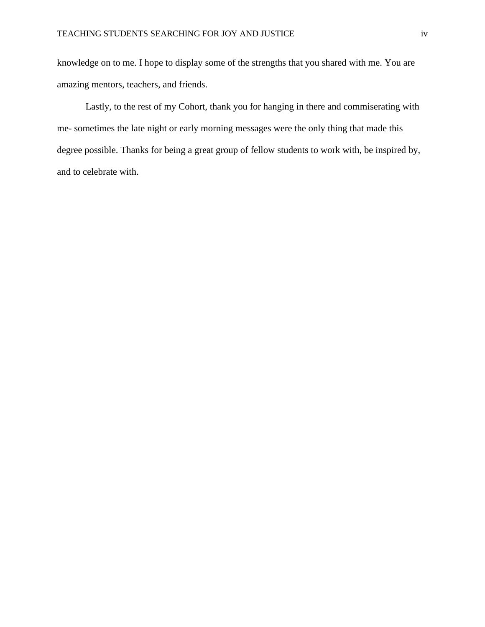knowledge on to me. I hope to display some of the strengths that you shared with me. You are amazing mentors, teachers, and friends.

Lastly, to the rest of my Cohort, thank you for hanging in there and commiserating with me- sometimes the late night or early morning messages were the only thing that made this degree possible. Thanks for being a great group of fellow students to work with, be inspired by, and to celebrate with.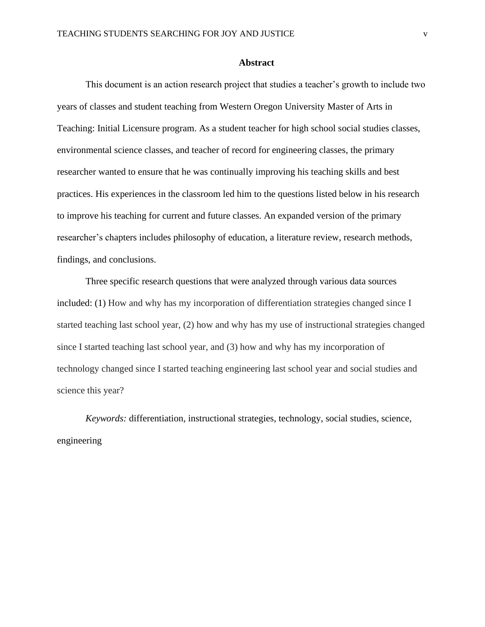#### **Abstract**

This document is an action research project that studies a teacher's growth to include two years of classes and student teaching from Western Oregon University Master of Arts in Teaching: Initial Licensure program. As a student teacher for high school social studies classes, environmental science classes, and teacher of record for engineering classes, the primary researcher wanted to ensure that he was continually improving his teaching skills and best practices. His experiences in the classroom led him to the questions listed below in his research to improve his teaching for current and future classes. An expanded version of the primary researcher's chapters includes philosophy of education, a literature review, research methods, findings, and conclusions.

Three specific research questions that were analyzed through various data sources included: (1) How and why has my incorporation of differentiation strategies changed since I started teaching last school year, (2) how and why has my use of instructional strategies changed since I started teaching last school year, and (3) how and why has my incorporation of technology changed since I started teaching engineering last school year and social studies and science this year?

*Keywords:* differentiation, instructional strategies, technology, social studies, science, engineering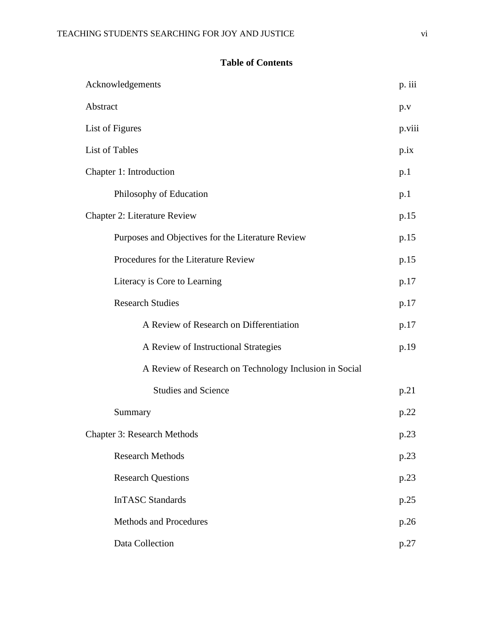### **Table of Contents**

| Acknowledgements                                       | p. iii     |
|--------------------------------------------------------|------------|
| Abstract                                               | p.v        |
| List of Figures                                        | p.viii     |
| List of Tables                                         | $p_{.}$ ix |
| Chapter 1: Introduction                                | p.1        |
| Philosophy of Education                                | p.1        |
| <b>Chapter 2: Literature Review</b>                    | p.15       |
| Purposes and Objectives for the Literature Review      | p.15       |
| Procedures for the Literature Review                   | p.15       |
| Literacy is Core to Learning                           | p.17       |
| <b>Research Studies</b>                                | p.17       |
| A Review of Research on Differentiation                | p.17       |
| A Review of Instructional Strategies                   | p.19       |
| A Review of Research on Technology Inclusion in Social |            |
| <b>Studies and Science</b>                             | p.21       |
| Summary                                                | p.22       |
| <b>Chapter 3: Research Methods</b>                     | p.23       |
| <b>Research Methods</b>                                | p.23       |
| <b>Research Questions</b>                              | p.23       |
| <b>InTASC Standards</b>                                | p.25       |
| <b>Methods and Procedures</b>                          | p.26       |
| Data Collection                                        | p.27       |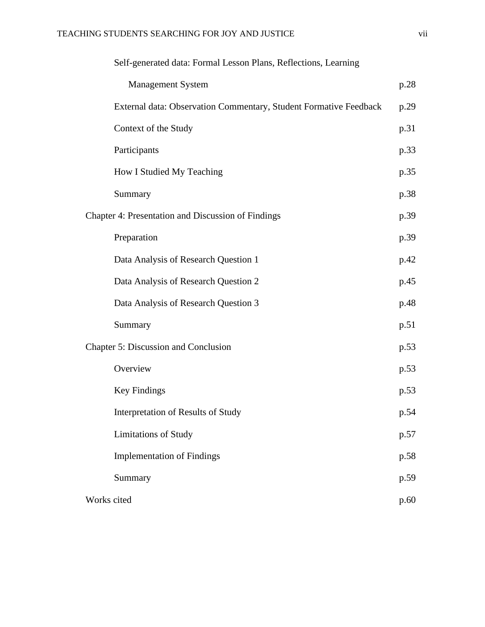| Self-generated data: Formal Lesson Plans, Reflections, Learning   |      |
|-------------------------------------------------------------------|------|
| <b>Management System</b>                                          | p.28 |
| External data: Observation Commentary, Student Formative Feedback | p.29 |
| Context of the Study                                              | p.31 |
| Participants                                                      | p.33 |
| How I Studied My Teaching                                         | p.35 |
| Summary                                                           | p.38 |
| <b>Chapter 4: Presentation and Discussion of Findings</b>         | p.39 |
| Preparation                                                       | p.39 |
| Data Analysis of Research Question 1                              | p.42 |
| Data Analysis of Research Question 2                              | p.45 |
| Data Analysis of Research Question 3                              | p.48 |
| Summary                                                           | p.51 |
| <b>Chapter 5: Discussion and Conclusion</b>                       | p.53 |
| Overview                                                          | p.53 |
| <b>Key Findings</b>                                               | p.53 |
| Interpretation of Results of Study                                | p.54 |
| <b>Limitations of Study</b>                                       | p.57 |
| <b>Implementation of Findings</b>                                 | p.58 |
| Summary                                                           | p.59 |
| Works cited                                                       | p.60 |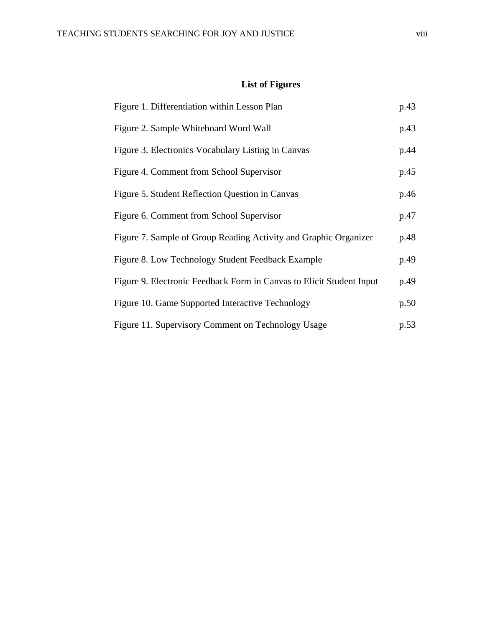# **List of Figures**

| Figure 1. Differentiation within Lesson Plan                         | p.43 |
|----------------------------------------------------------------------|------|
| Figure 2. Sample Whiteboard Word Wall                                | p.43 |
| Figure 3. Electronics Vocabulary Listing in Canvas                   | p.44 |
| Figure 4. Comment from School Supervisor                             | p.45 |
| Figure 5. Student Reflection Question in Canvas                      | p.46 |
| Figure 6. Comment from School Supervisor                             | p.47 |
| Figure 7. Sample of Group Reading Activity and Graphic Organizer     | p.48 |
| Figure 8. Low Technology Student Feedback Example                    | p.49 |
| Figure 9. Electronic Feedback Form in Canvas to Elicit Student Input | p.49 |
| Figure 10. Game Supported Interactive Technology                     | p.50 |
| Figure 11. Supervisory Comment on Technology Usage                   | p.53 |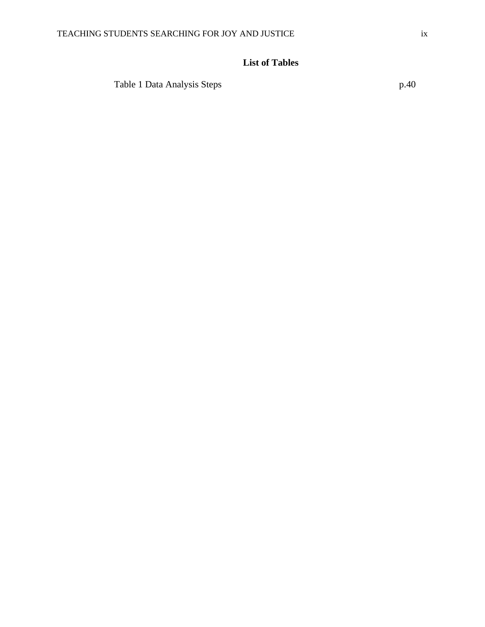## **List of Tables**

Table 1 Data Analysis Steps p.40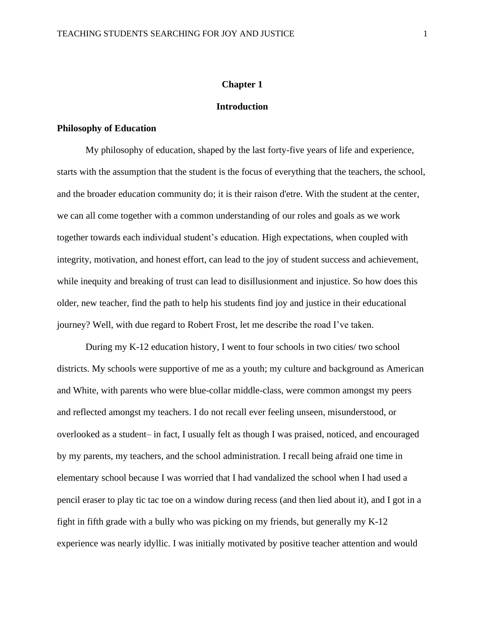#### **Chapter 1**

#### **Introduction**

#### **Philosophy of Education**

My philosophy of education, shaped by the last forty-five years of life and experience, starts with the assumption that the student is the focus of everything that the teachers, the school, and the broader education community do; it is their raison d'etre. With the student at the center, we can all come together with a common understanding of our roles and goals as we work together towards each individual student's education. High expectations, when coupled with integrity, motivation, and honest effort, can lead to the joy of student success and achievement, while inequity and breaking of trust can lead to disillusionment and injustice. So how does this older, new teacher, find the path to help his students find joy and justice in their educational journey? Well, with due regard to Robert Frost, let me describe the road I've taken.

During my K-12 education history, I went to four schools in two cities/ two school districts. My schools were supportive of me as a youth; my culture and background as American and White, with parents who were blue-collar middle-class, were common amongst my peers and reflected amongst my teachers. I do not recall ever feeling unseen, misunderstood, or overlooked as a student– in fact, I usually felt as though I was praised, noticed, and encouraged by my parents, my teachers, and the school administration. I recall being afraid one time in elementary school because I was worried that I had vandalized the school when I had used a pencil eraser to play tic tac toe on a window during recess (and then lied about it), and I got in a fight in fifth grade with a bully who was picking on my friends, but generally my K-12 experience was nearly idyllic. I was initially motivated by positive teacher attention and would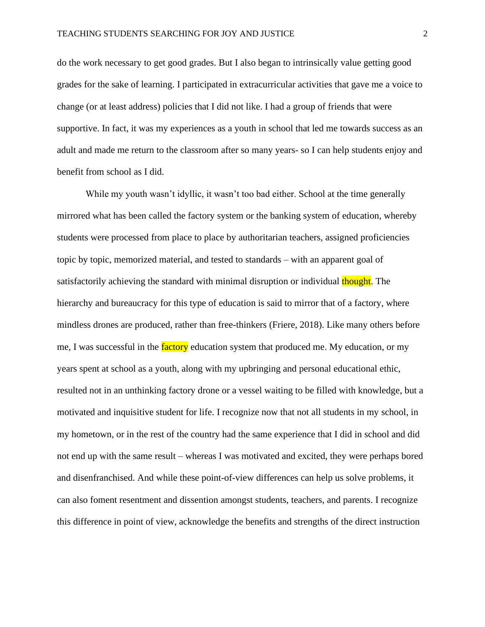do the work necessary to get good grades. But I also began to intrinsically value getting good grades for the sake of learning. I participated in extracurricular activities that gave me a voice to change (or at least address) policies that I did not like. I had a group of friends that were supportive. In fact, it was my experiences as a youth in school that led me towards success as an adult and made me return to the classroom after so many years- so I can help students enjoy and benefit from school as I did.

While my youth wasn't idyllic, it wasn't too bad either. School at the time generally mirrored what has been called the factory system or the banking system of education, whereby students were processed from place to place by authoritarian teachers, assigned proficiencies topic by topic, memorized material, and tested to standards – with an apparent goal of satisfactorily achieving the standard with minimal disruption or individual thought. The hierarchy and bureaucracy for this type of education is said to mirror that of a factory, where mindless drones are produced, rather than free-thinkers (Friere, 2018). Like many others before me, I was successful in the factory education system that produced me. My education, or my years spent at school as a youth, along with my upbringing and personal educational ethic, resulted not in an unthinking factory drone or a vessel waiting to be filled with knowledge, but a motivated and inquisitive student for life. I recognize now that not all students in my school, in my hometown, or in the rest of the country had the same experience that I did in school and did not end up with the same result – whereas I was motivated and excited, they were perhaps bored and disenfranchised. And while these point-of-view differences can help us solve problems, it can also foment resentment and dissention amongst students, teachers, and parents. I recognize this difference in point of view, acknowledge the benefits and strengths of the direct instruction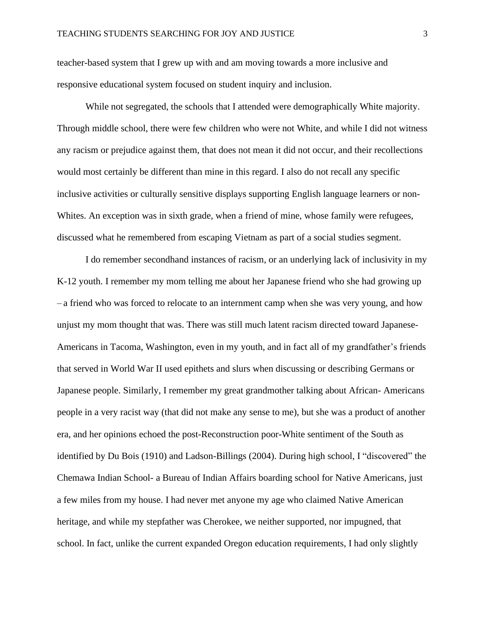teacher-based system that I grew up with and am moving towards a more inclusive and responsive educational system focused on student inquiry and inclusion.

While not segregated, the schools that I attended were demographically White majority. Through middle school, there were few children who were not White, and while I did not witness any racism or prejudice against them, that does not mean it did not occur, and their recollections would most certainly be different than mine in this regard. I also do not recall any specific inclusive activities or culturally sensitive displays supporting English language learners or non-Whites. An exception was in sixth grade, when a friend of mine, whose family were refugees, discussed what he remembered from escaping Vietnam as part of a social studies segment.

I do remember secondhand instances of racism, or an underlying lack of inclusivity in my K-12 youth. I remember my mom telling me about her Japanese friend who she had growing up – a friend who was forced to relocate to an internment camp when she was very young, and how unjust my mom thought that was. There was still much latent racism directed toward Japanese-Americans in Tacoma, Washington, even in my youth, and in fact all of my grandfather's friends that served in World War II used epithets and slurs when discussing or describing Germans or Japanese people. Similarly, I remember my great grandmother talking about African- Americans people in a very racist way (that did not make any sense to me), but she was a product of another era, and her opinions echoed the post-Reconstruction poor-White sentiment of the South as identified by Du Bois (1910) and Ladson-Billings (2004). During high school, I "discovered" the Chemawa Indian School- a Bureau of Indian Affairs boarding school for Native Americans, just a few miles from my house. I had never met anyone my age who claimed Native American heritage, and while my stepfather was Cherokee, we neither supported, nor impugned, that school. In fact, unlike the current expanded Oregon education requirements, I had only slightly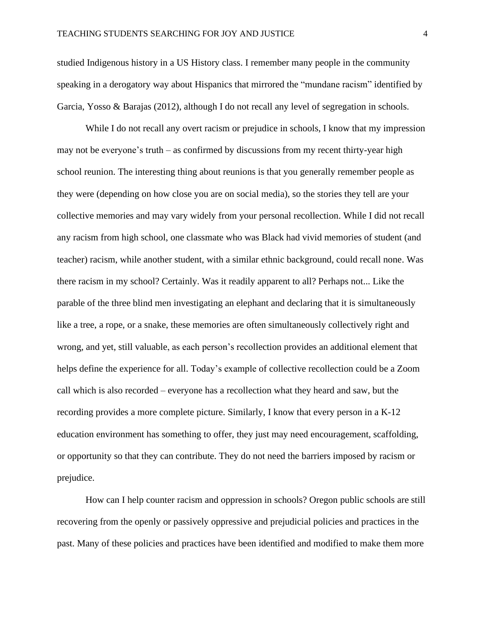studied Indigenous history in a US History class. I remember many people in the community speaking in a derogatory way about Hispanics that mirrored the "mundane racism" identified by Garcia, Yosso & Barajas (2012), although I do not recall any level of segregation in schools.

While I do not recall any overt racism or prejudice in schools, I know that my impression may not be everyone's truth – as confirmed by discussions from my recent thirty-year high school reunion. The interesting thing about reunions is that you generally remember people as they were (depending on how close you are on social media), so the stories they tell are your collective memories and may vary widely from your personal recollection. While I did not recall any racism from high school, one classmate who was Black had vivid memories of student (and teacher) racism, while another student, with a similar ethnic background, could recall none. Was there racism in my school? Certainly. Was it readily apparent to all? Perhaps not... Like the parable of the three blind men investigating an elephant and declaring that it is simultaneously like a tree, a rope, or a snake, these memories are often simultaneously collectively right and wrong, and yet, still valuable, as each person's recollection provides an additional element that helps define the experience for all. Today's example of collective recollection could be a Zoom call which is also recorded – everyone has a recollection what they heard and saw, but the recording provides a more complete picture. Similarly, I know that every person in a K-12 education environment has something to offer, they just may need encouragement, scaffolding, or opportunity so that they can contribute. They do not need the barriers imposed by racism or prejudice.

How can I help counter racism and oppression in schools? Oregon public schools are still recovering from the openly or passively oppressive and prejudicial policies and practices in the past. Many of these policies and practices have been identified and modified to make them more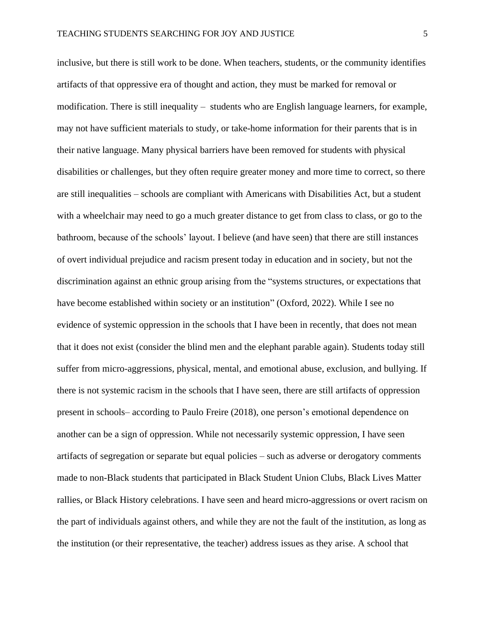inclusive, but there is still work to be done. When teachers, students, or the community identifies artifacts of that oppressive era of thought and action, they must be marked for removal or modification. There is still inequality – students who are English language learners, for example, may not have sufficient materials to study, or take-home information for their parents that is in their native language. Many physical barriers have been removed for students with physical disabilities or challenges, but they often require greater money and more time to correct, so there are still inequalities – schools are compliant with Americans with Disabilities Act, but a student with a wheelchair may need to go a much greater distance to get from class to class, or go to the bathroom, because of the schools' layout. I believe (and have seen) that there are still instances of overt individual prejudice and racism present today in education and in society, but not the discrimination against an ethnic group arising from the "systems structures, or expectations that have become established within society or an institution" (Oxford, 2022). While I see no evidence of systemic oppression in the schools that I have been in recently, that does not mean that it does not exist (consider the blind men and the elephant parable again). Students today still suffer from micro-aggressions, physical, mental, and emotional abuse, exclusion, and bullying. If there is not systemic racism in the schools that I have seen, there are still artifacts of oppression present in schools– according to Paulo Freire (2018), one person's emotional dependence on another can be a sign of oppression. While not necessarily systemic oppression, I have seen artifacts of segregation or separate but equal policies – such as adverse or derogatory comments made to non-Black students that participated in Black Student Union Clubs, Black Lives Matter rallies, or Black History celebrations. I have seen and heard micro-aggressions or overt racism on the part of individuals against others, and while they are not the fault of the institution, as long as the institution (or their representative, the teacher) address issues as they arise. A school that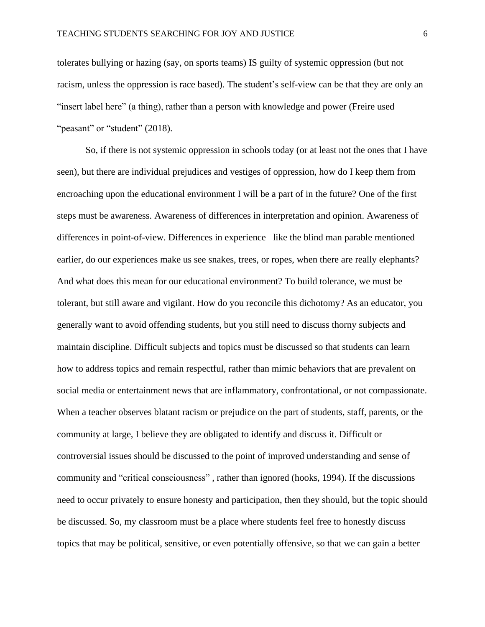tolerates bullying or hazing (say, on sports teams) IS guilty of systemic oppression (but not racism, unless the oppression is race based). The student's self-view can be that they are only an "insert label here" (a thing), rather than a person with knowledge and power (Freire used "peasant" or "student" (2018).

So, if there is not systemic oppression in schools today (or at least not the ones that I have seen), but there are individual prejudices and vestiges of oppression, how do I keep them from encroaching upon the educational environment I will be a part of in the future? One of the first steps must be awareness. Awareness of differences in interpretation and opinion. Awareness of differences in point-of-view. Differences in experience– like the blind man parable mentioned earlier, do our experiences make us see snakes, trees, or ropes, when there are really elephants? And what does this mean for our educational environment? To build tolerance, we must be tolerant, but still aware and vigilant. How do you reconcile this dichotomy? As an educator, you generally want to avoid offending students, but you still need to discuss thorny subjects and maintain discipline. Difficult subjects and topics must be discussed so that students can learn how to address topics and remain respectful, rather than mimic behaviors that are prevalent on social media or entertainment news that are inflammatory, confrontational, or not compassionate. When a teacher observes blatant racism or prejudice on the part of students, staff, parents, or the community at large, I believe they are obligated to identify and discuss it. Difficult or controversial issues should be discussed to the point of improved understanding and sense of community and "critical consciousness" , rather than ignored (hooks, 1994). If the discussions need to occur privately to ensure honesty and participation, then they should, but the topic should be discussed. So, my classroom must be a place where students feel free to honestly discuss topics that may be political, sensitive, or even potentially offensive, so that we can gain a better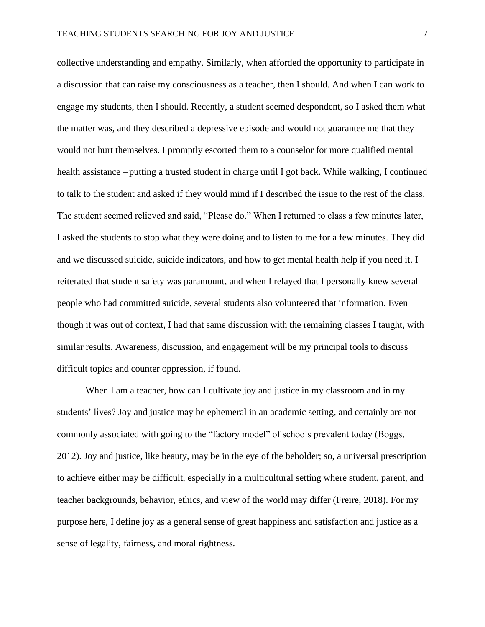collective understanding and empathy. Similarly, when afforded the opportunity to participate in a discussion that can raise my consciousness as a teacher, then I should. And when I can work to engage my students, then I should. Recently, a student seemed despondent, so I asked them what the matter was, and they described a depressive episode and would not guarantee me that they would not hurt themselves. I promptly escorted them to a counselor for more qualified mental health assistance – putting a trusted student in charge until I got back. While walking, I continued to talk to the student and asked if they would mind if I described the issue to the rest of the class. The student seemed relieved and said, "Please do." When I returned to class a few minutes later, I asked the students to stop what they were doing and to listen to me for a few minutes. They did and we discussed suicide, suicide indicators, and how to get mental health help if you need it. I reiterated that student safety was paramount, and when I relayed that I personally knew several people who had committed suicide, several students also volunteered that information. Even though it was out of context, I had that same discussion with the remaining classes I taught, with similar results. Awareness, discussion, and engagement will be my principal tools to discuss difficult topics and counter oppression, if found.

When I am a teacher, how can I cultivate joy and justice in my classroom and in my students' lives? Joy and justice may be ephemeral in an academic setting, and certainly are not commonly associated with going to the "factory model" of schools prevalent today (Boggs, 2012). Joy and justice, like beauty, may be in the eye of the beholder; so, a universal prescription to achieve either may be difficult, especially in a multicultural setting where student, parent, and teacher backgrounds, behavior, ethics, and view of the world may differ (Freire, 2018). For my purpose here, I define joy as a general sense of great happiness and satisfaction and justice as a sense of legality, fairness, and moral rightness.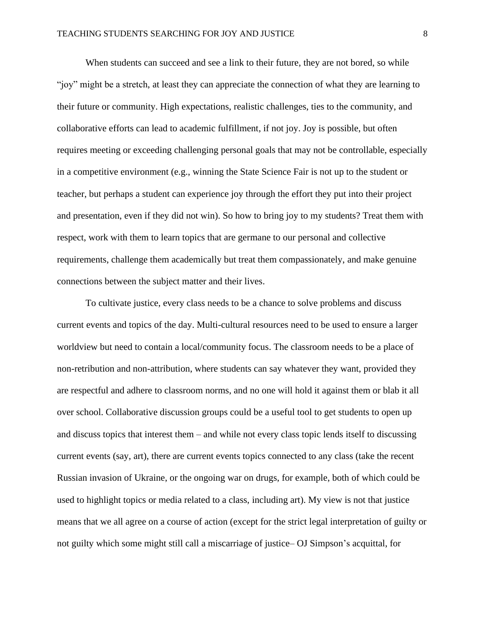When students can succeed and see a link to their future, they are not bored, so while "joy" might be a stretch, at least they can appreciate the connection of what they are learning to their future or community. High expectations, realistic challenges, ties to the community, and collaborative efforts can lead to academic fulfillment, if not joy. Joy is possible, but often requires meeting or exceeding challenging personal goals that may not be controllable, especially in a competitive environment (e.g., winning the State Science Fair is not up to the student or teacher, but perhaps a student can experience joy through the effort they put into their project and presentation, even if they did not win). So how to bring joy to my students? Treat them with respect, work with them to learn topics that are germane to our personal and collective requirements, challenge them academically but treat them compassionately, and make genuine connections between the subject matter and their lives.

To cultivate justice, every class needs to be a chance to solve problems and discuss current events and topics of the day. Multi-cultural resources need to be used to ensure a larger worldview but need to contain a local/community focus. The classroom needs to be a place of non-retribution and non-attribution, where students can say whatever they want, provided they are respectful and adhere to classroom norms, and no one will hold it against them or blab it all over school. Collaborative discussion groups could be a useful tool to get students to open up and discuss topics that interest them – and while not every class topic lends itself to discussing current events (say, art), there are current events topics connected to any class (take the recent Russian invasion of Ukraine, or the ongoing war on drugs, for example, both of which could be used to highlight topics or media related to a class, including art). My view is not that justice means that we all agree on a course of action (except for the strict legal interpretation of guilty or not guilty which some might still call a miscarriage of justice– OJ Simpson's acquittal, for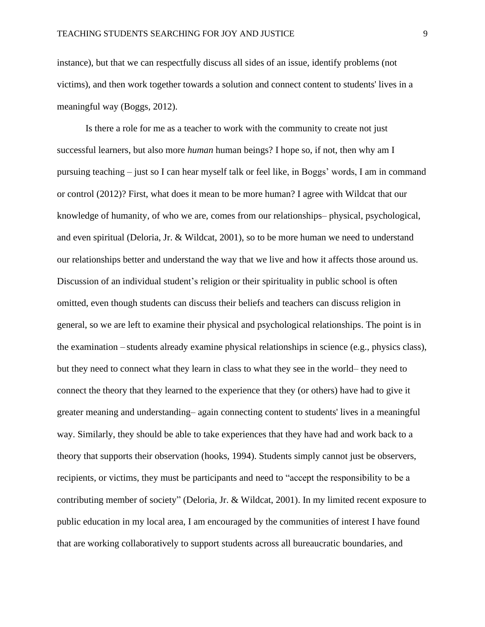instance), but that we can respectfully discuss all sides of an issue, identify problems (not victims), and then work together towards a solution and connect content to students' lives in a meaningful way (Boggs, 2012).

Is there a role for me as a teacher to work with the community to create not just successful learners, but also more *human* human beings? I hope so, if not, then why am I pursuing teaching – just so I can hear myself talk or feel like, in Boggs' words, I am in command or control (2012)? First, what does it mean to be more human? I agree with Wildcat that our knowledge of humanity, of who we are, comes from our relationships– physical, psychological, and even spiritual (Deloria, Jr. & Wildcat, 2001), so to be more human we need to understand our relationships better and understand the way that we live and how it affects those around us. Discussion of an individual student's religion or their spirituality in public school is often omitted, even though students can discuss their beliefs and teachers can discuss religion in general, so we are left to examine their physical and psychological relationships. The point is in the examination – students already examine physical relationships in science (e.g., physics class), but they need to connect what they learn in class to what they see in the world– they need to connect the theory that they learned to the experience that they (or others) have had to give it greater meaning and understanding– again connecting content to students' lives in a meaningful way. Similarly, they should be able to take experiences that they have had and work back to a theory that supports their observation (hooks, 1994). Students simply cannot just be observers, recipients, or victims, they must be participants and need to "accept the responsibility to be a contributing member of society" (Deloria, Jr. & Wildcat, 2001). In my limited recent exposure to public education in my local area, I am encouraged by the communities of interest I have found that are working collaboratively to support students across all bureaucratic boundaries, and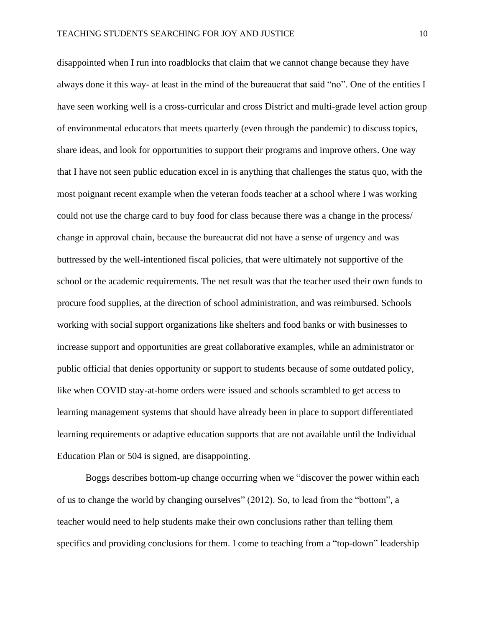disappointed when I run into roadblocks that claim that we cannot change because they have always done it this way- at least in the mind of the bureaucrat that said "no". One of the entities I have seen working well is a cross-curricular and cross District and multi-grade level action group of environmental educators that meets quarterly (even through the pandemic) to discuss topics, share ideas, and look for opportunities to support their programs and improve others. One way that I have not seen public education excel in is anything that challenges the status quo, with the most poignant recent example when the veteran foods teacher at a school where I was working could not use the charge card to buy food for class because there was a change in the process/ change in approval chain, because the bureaucrat did not have a sense of urgency and was buttressed by the well-intentioned fiscal policies, that were ultimately not supportive of the school or the academic requirements. The net result was that the teacher used their own funds to procure food supplies, at the direction of school administration, and was reimbursed. Schools working with social support organizations like shelters and food banks or with businesses to increase support and opportunities are great collaborative examples, while an administrator or public official that denies opportunity or support to students because of some outdated policy, like when COVID stay-at-home orders were issued and schools scrambled to get access to learning management systems that should have already been in place to support differentiated learning requirements or adaptive education supports that are not available until the Individual Education Plan or 504 is signed, are disappointing.

Boggs describes bottom-up change occurring when we "discover the power within each of us to change the world by changing ourselves" (2012). So, to lead from the "bottom", a teacher would need to help students make their own conclusions rather than telling them specifics and providing conclusions for them. I come to teaching from a "top-down" leadership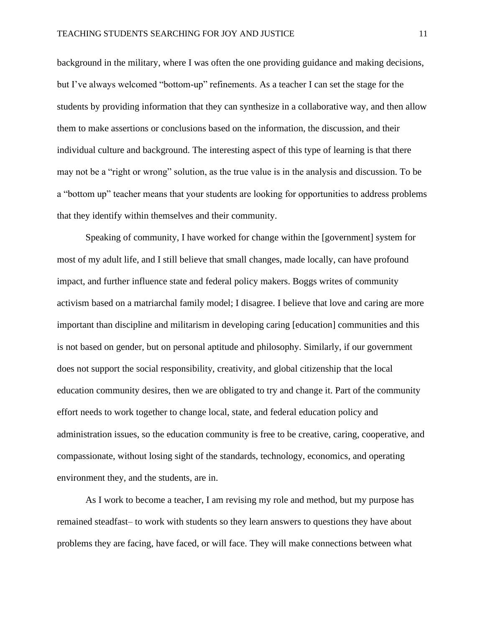background in the military, where I was often the one providing guidance and making decisions, but I've always welcomed "bottom-up" refinements. As a teacher I can set the stage for the students by providing information that they can synthesize in a collaborative way, and then allow them to make assertions or conclusions based on the information, the discussion, and their individual culture and background. The interesting aspect of this type of learning is that there may not be a "right or wrong" solution, as the true value is in the analysis and discussion. To be a "bottom up" teacher means that your students are looking for opportunities to address problems that they identify within themselves and their community.

Speaking of community, I have worked for change within the [government] system for most of my adult life, and I still believe that small changes, made locally, can have profound impact, and further influence state and federal policy makers. Boggs writes of community activism based on a matriarchal family model; I disagree. I believe that love and caring are more important than discipline and militarism in developing caring [education] communities and this is not based on gender, but on personal aptitude and philosophy. Similarly, if our government does not support the social responsibility, creativity, and global citizenship that the local education community desires, then we are obligated to try and change it. Part of the community effort needs to work together to change local, state, and federal education policy and administration issues, so the education community is free to be creative, caring, cooperative, and compassionate, without losing sight of the standards, technology, economics, and operating environment they, and the students, are in.

As I work to become a teacher, I am revising my role and method, but my purpose has remained steadfast– to work with students so they learn answers to questions they have about problems they are facing, have faced, or will face. They will make connections between what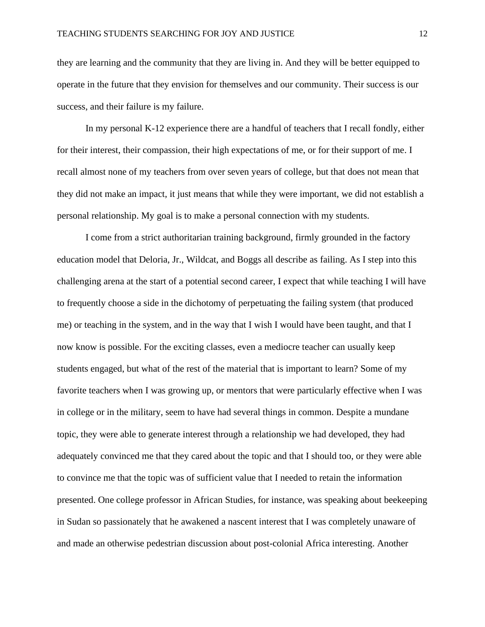they are learning and the community that they are living in. And they will be better equipped to operate in the future that they envision for themselves and our community. Their success is our success, and their failure is my failure.

In my personal K-12 experience there are a handful of teachers that I recall fondly, either for their interest, their compassion, their high expectations of me, or for their support of me. I recall almost none of my teachers from over seven years of college, but that does not mean that they did not make an impact, it just means that while they were important, we did not establish a personal relationship. My goal is to make a personal connection with my students.

I come from a strict authoritarian training background, firmly grounded in the factory education model that Deloria, Jr., Wildcat, and Boggs all describe as failing. As I step into this challenging arena at the start of a potential second career, I expect that while teaching I will have to frequently choose a side in the dichotomy of perpetuating the failing system (that produced me) or teaching in the system, and in the way that I wish I would have been taught, and that I now know is possible. For the exciting classes, even a mediocre teacher can usually keep students engaged, but what of the rest of the material that is important to learn? Some of my favorite teachers when I was growing up, or mentors that were particularly effective when I was in college or in the military, seem to have had several things in common. Despite a mundane topic, they were able to generate interest through a relationship we had developed, they had adequately convinced me that they cared about the topic and that I should too, or they were able to convince me that the topic was of sufficient value that I needed to retain the information presented. One college professor in African Studies, for instance, was speaking about beekeeping in Sudan so passionately that he awakened a nascent interest that I was completely unaware of and made an otherwise pedestrian discussion about post-colonial Africa interesting. Another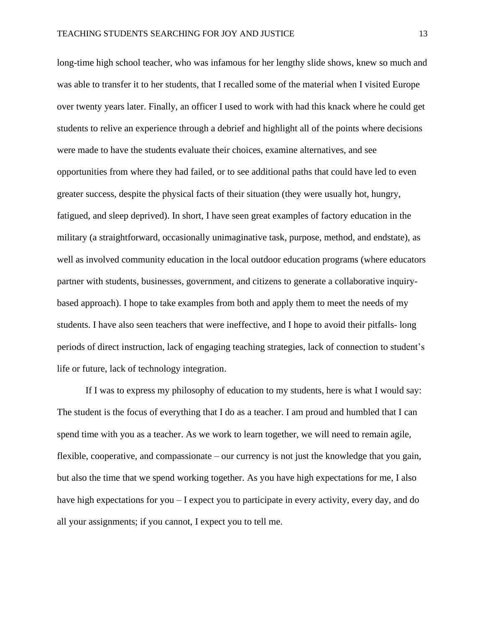long-time high school teacher, who was infamous for her lengthy slide shows, knew so much and was able to transfer it to her students, that I recalled some of the material when I visited Europe over twenty years later. Finally, an officer I used to work with had this knack where he could get students to relive an experience through a debrief and highlight all of the points where decisions were made to have the students evaluate their choices, examine alternatives, and see opportunities from where they had failed, or to see additional paths that could have led to even greater success, despite the physical facts of their situation (they were usually hot, hungry, fatigued, and sleep deprived). In short, I have seen great examples of factory education in the military (a straightforward, occasionally unimaginative task, purpose, method, and endstate), as well as involved community education in the local outdoor education programs (where educators partner with students, businesses, government, and citizens to generate a collaborative inquirybased approach). I hope to take examples from both and apply them to meet the needs of my students. I have also seen teachers that were ineffective, and I hope to avoid their pitfalls- long periods of direct instruction, lack of engaging teaching strategies, lack of connection to student's life or future, lack of technology integration.

If I was to express my philosophy of education to my students, here is what I would say: The student is the focus of everything that I do as a teacher. I am proud and humbled that I can spend time with you as a teacher. As we work to learn together, we will need to remain agile, flexible, cooperative, and compassionate – our currency is not just the knowledge that you gain, but also the time that we spend working together. As you have high expectations for me, I also have high expectations for you – I expect you to participate in every activity, every day, and do all your assignments; if you cannot, I expect you to tell me.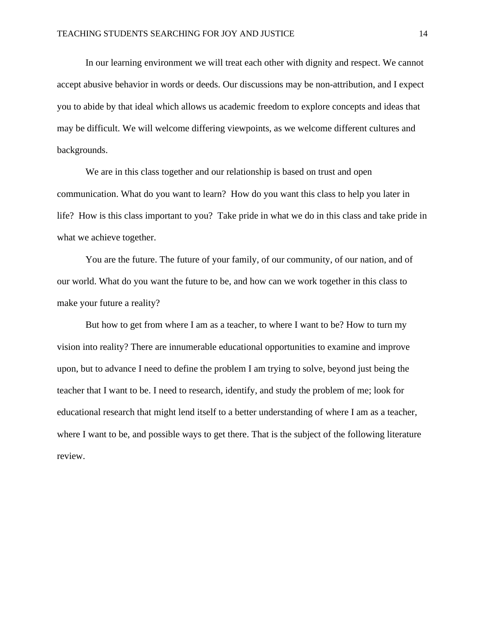In our learning environment we will treat each other with dignity and respect. We cannot accept abusive behavior in words or deeds. Our discussions may be non-attribution, and I expect you to abide by that ideal which allows us academic freedom to explore concepts and ideas that may be difficult. We will welcome differing viewpoints, as we welcome different cultures and backgrounds.

We are in this class together and our relationship is based on trust and open communication. What do you want to learn? How do you want this class to help you later in life? How is this class important to you? Take pride in what we do in this class and take pride in what we achieve together.

You are the future. The future of your family, of our community, of our nation, and of our world. What do you want the future to be, and how can we work together in this class to make your future a reality?

But how to get from where I am as a teacher, to where I want to be? How to turn my vision into reality? There are innumerable educational opportunities to examine and improve upon, but to advance I need to define the problem I am trying to solve, beyond just being the teacher that I want to be. I need to research, identify, and study the problem of me; look for educational research that might lend itself to a better understanding of where I am as a teacher, where I want to be, and possible ways to get there. That is the subject of the following literature review.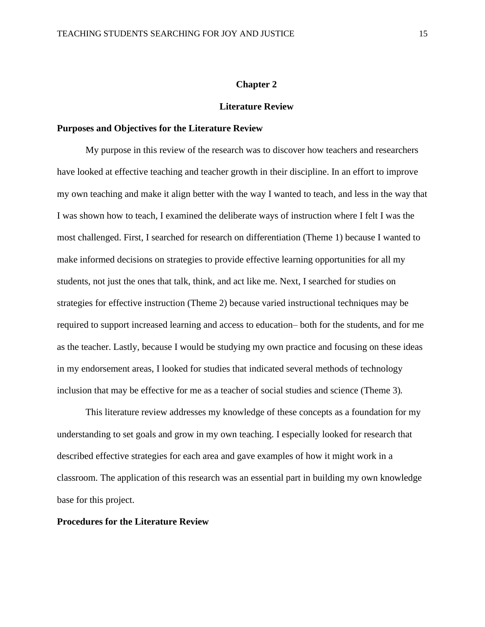#### **Chapter 2**

#### **Literature Review**

#### **Purposes and Objectives for the Literature Review**

My purpose in this review of the research was to discover how teachers and researchers have looked at effective teaching and teacher growth in their discipline. In an effort to improve my own teaching and make it align better with the way I wanted to teach, and less in the way that I was shown how to teach, I examined the deliberate ways of instruction where I felt I was the most challenged. First, I searched for research on differentiation (Theme 1) because I wanted to make informed decisions on strategies to provide effective learning opportunities for all my students, not just the ones that talk, think, and act like me. Next, I searched for studies on strategies for effective instruction (Theme 2) because varied instructional techniques may be required to support increased learning and access to education– both for the students, and for me as the teacher. Lastly, because I would be studying my own practice and focusing on these ideas in my endorsement areas, I looked for studies that indicated several methods of technology inclusion that may be effective for me as a teacher of social studies and science (Theme 3)*.*

This literature review addresses my knowledge of these concepts as a foundation for my understanding to set goals and grow in my own teaching. I especially looked for research that described effective strategies for each area and gave examples of how it might work in a classroom. The application of this research was an essential part in building my own knowledge base for this project.

#### **Procedures for the Literature Review**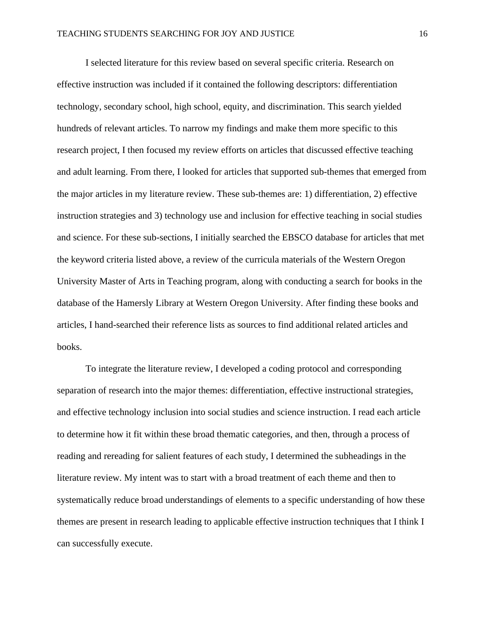I selected literature for this review based on several specific criteria. Research on effective instruction was included if it contained the following descriptors: differentiation technology, secondary school, high school, equity, and discrimination. This search yielded hundreds of relevant articles. To narrow my findings and make them more specific to this research project, I then focused my review efforts on articles that discussed effective teaching and adult learning. From there, I looked for articles that supported sub-themes that emerged from the major articles in my literature review. These sub-themes are: 1) differentiation, 2) effective instruction strategies and 3) technology use and inclusion for effective teaching in social studies and science. For these sub-sections, I initially searched the EBSCO database for articles that met the keyword criteria listed above, a review of the curricula materials of the Western Oregon University Master of Arts in Teaching program, along with conducting a search for books in the database of the Hamersly Library at Western Oregon University. After finding these books and articles, I hand-searched their reference lists as sources to find additional related articles and books.

To integrate the literature review, I developed a coding protocol and corresponding separation of research into the major themes: differentiation, effective instructional strategies, and effective technology inclusion into social studies and science instruction. I read each article to determine how it fit within these broad thematic categories, and then, through a process of reading and rereading for salient features of each study, I determined the subheadings in the literature review. My intent was to start with a broad treatment of each theme and then to systematically reduce broad understandings of elements to a specific understanding of how these themes are present in research leading to applicable effective instruction techniques that I think I can successfully execute.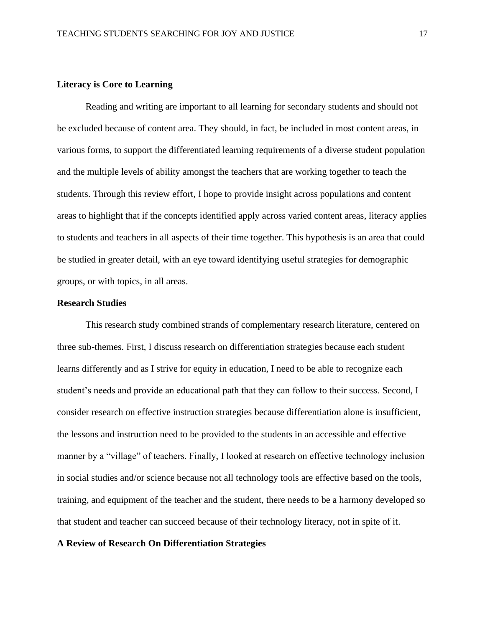#### **Literacy is Core to Learning**

Reading and writing are important to all learning for secondary students and should not be excluded because of content area. They should, in fact, be included in most content areas, in various forms, to support the differentiated learning requirements of a diverse student population and the multiple levels of ability amongst the teachers that are working together to teach the students. Through this review effort, I hope to provide insight across populations and content areas to highlight that if the concepts identified apply across varied content areas, literacy applies to students and teachers in all aspects of their time together. This hypothesis is an area that could be studied in greater detail, with an eye toward identifying useful strategies for demographic groups, or with topics, in all areas.

#### **Research Studies**

This research study combined strands of complementary research literature, centered on three sub-themes. First, I discuss research on differentiation strategies because each student learns differently and as I strive for equity in education, I need to be able to recognize each student's needs and provide an educational path that they can follow to their success. Second, I consider research on effective instruction strategies because differentiation alone is insufficient, the lessons and instruction need to be provided to the students in an accessible and effective manner by a "village" of teachers. Finally, I looked at research on effective technology inclusion in social studies and/or science because not all technology tools are effective based on the tools, training, and equipment of the teacher and the student, there needs to be a harmony developed so that student and teacher can succeed because of their technology literacy, not in spite of it.

#### **A Review of Research On Differentiation Strategies**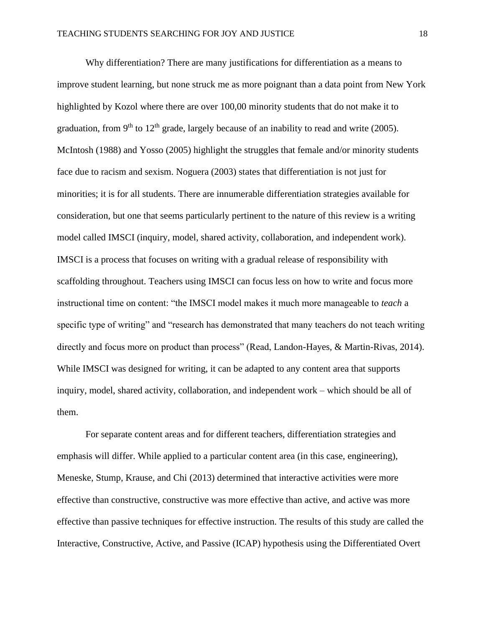Why differentiation? There are many justifications for differentiation as a means to improve student learning, but none struck me as more poignant than a data point from New York highlighted by Kozol where there are over 100,00 minority students that do not make it to graduation, from 9<sup>th</sup> to 12<sup>th</sup> grade, largely because of an inability to read and write (2005). McIntosh (1988) and Yosso (2005) highlight the struggles that female and/or minority students face due to racism and sexism. Noguera (2003) states that differentiation is not just for minorities; it is for all students. There are innumerable differentiation strategies available for consideration, but one that seems particularly pertinent to the nature of this review is a writing model called IMSCI (inquiry, model, shared activity, collaboration, and independent work). IMSCI is a process that focuses on writing with a gradual release of responsibility with scaffolding throughout. Teachers using IMSCI can focus less on how to write and focus more instructional time on content: "the IMSCI model makes it much more manageable to *teach* a specific type of writing" and "research has demonstrated that many teachers do not teach writing directly and focus more on product than process" (Read, Landon-Hayes, & Martin-Rivas, 2014). While IMSCI was designed for writing, it can be adapted to any content area that supports inquiry, model, shared activity, collaboration, and independent work – which should be all of them.

For separate content areas and for different teachers, differentiation strategies and emphasis will differ. While applied to a particular content area (in this case, engineering), Meneske, Stump, Krause, and Chi (2013) determined that interactive activities were more effective than constructive, constructive was more effective than active, and active was more effective than passive techniques for effective instruction. The results of this study are called the Interactive, Constructive, Active, and Passive (ICAP) hypothesis using the Differentiated Overt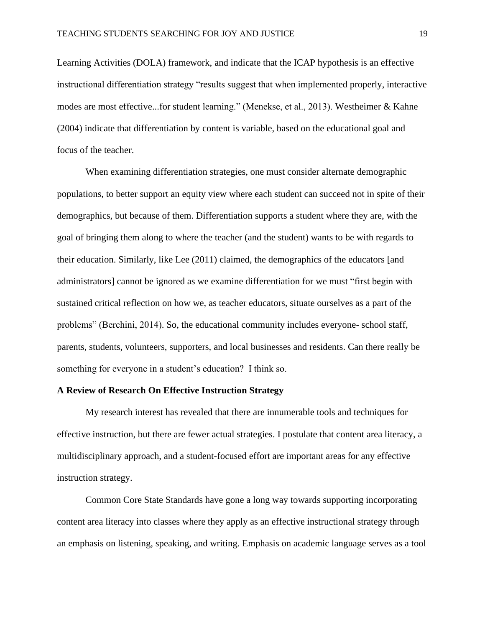Learning Activities (DOLA) framework, and indicate that the ICAP hypothesis is an effective instructional differentiation strategy "results suggest that when implemented properly, interactive modes are most effective...for student learning." (Menekse, et al., 2013). Westheimer & Kahne (2004) indicate that differentiation by content is variable, based on the educational goal and focus of the teacher.

When examining differentiation strategies, one must consider alternate demographic populations, to better support an equity view where each student can succeed not in spite of their demographics, but because of them. Differentiation supports a student where they are, with the goal of bringing them along to where the teacher (and the student) wants to be with regards to their education. Similarly, like Lee (2011) claimed, the demographics of the educators [and administrators] cannot be ignored as we examine differentiation for we must "first begin with sustained critical reflection on how we, as teacher educators, situate ourselves as a part of the problems" (Berchini, 2014). So, the educational community includes everyone- school staff, parents, students, volunteers, supporters, and local businesses and residents. Can there really be something for everyone in a student's education? I think so.

#### **A Review of Research On Effective Instruction Strategy**

My research interest has revealed that there are innumerable tools and techniques for effective instruction, but there are fewer actual strategies. I postulate that content area literacy, a multidisciplinary approach, and a student-focused effort are important areas for any effective instruction strategy.

Common Core State Standards have gone a long way towards supporting incorporating content area literacy into classes where they apply as an effective instructional strategy through an emphasis on listening, speaking, and writing. Emphasis on academic language serves as a tool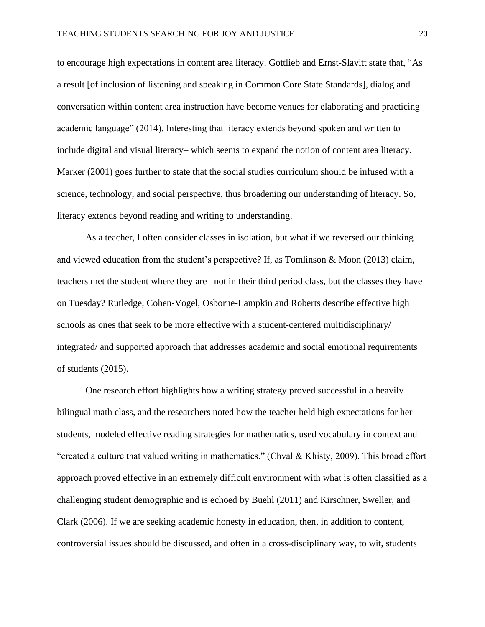to encourage high expectations in content area literacy. Gottlieb and Ernst-Slavitt state that, "As a result [of inclusion of listening and speaking in Common Core State Standards], dialog and conversation within content area instruction have become venues for elaborating and practicing academic language" (2014). Interesting that literacy extends beyond spoken and written to include digital and visual literacy– which seems to expand the notion of content area literacy. Marker (2001) goes further to state that the social studies curriculum should be infused with a science, technology, and social perspective, thus broadening our understanding of literacy. So, literacy extends beyond reading and writing to understanding.

As a teacher, I often consider classes in isolation, but what if we reversed our thinking and viewed education from the student's perspective? If, as Tomlinson & Moon (2013) claim, teachers met the student where they are– not in their third period class, but the classes they have on Tuesday? Rutledge, Cohen-Vogel, Osborne-Lampkin and Roberts describe effective high schools as ones that seek to be more effective with a student-centered multidisciplinary/ integrated/ and supported approach that addresses academic and social emotional requirements of students (2015).

One research effort highlights how a writing strategy proved successful in a heavily bilingual math class, and the researchers noted how the teacher held high expectations for her students, modeled effective reading strategies for mathematics, used vocabulary in context and "created a culture that valued writing in mathematics." (Chval & Khisty, 2009). This broad effort approach proved effective in an extremely difficult environment with what is often classified as a challenging student demographic and is echoed by Buehl (2011) and Kirschner, Sweller, and Clark (2006). If we are seeking academic honesty in education, then, in addition to content, controversial issues should be discussed, and often in a cross-disciplinary way, to wit, students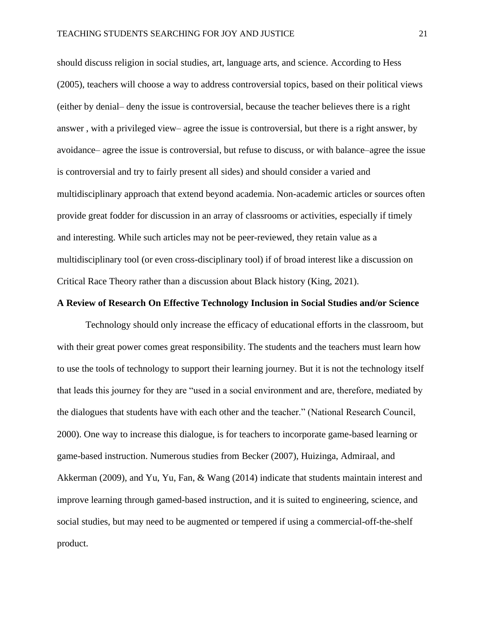should discuss religion in social studies, art, language arts, and science. According to Hess (2005), teachers will choose a way to address controversial topics, based on their political views (either by denial– deny the issue is controversial, because the teacher believes there is a right answer , with a privileged view– agree the issue is controversial, but there is a right answer, by avoidance– agree the issue is controversial, but refuse to discuss, or with balance–agree the issue is controversial and try to fairly present all sides) and should consider a varied and multidisciplinary approach that extend beyond academia. Non-academic articles or sources often provide great fodder for discussion in an array of classrooms or activities, especially if timely and interesting. While such articles may not be peer-reviewed, they retain value as a multidisciplinary tool (or even cross-disciplinary tool) if of broad interest like a discussion on Critical Race Theory rather than a discussion about Black history (King, 2021).

#### **A Review of Research On Effective Technology Inclusion in Social Studies and/or Science**

Technology should only increase the efficacy of educational efforts in the classroom, but with their great power comes great responsibility. The students and the teachers must learn how to use the tools of technology to support their learning journey. But it is not the technology itself that leads this journey for they are "used in a social environment and are, therefore, mediated by the dialogues that students have with each other and the teacher." (National Research Council, 2000). One way to increase this dialogue, is for teachers to incorporate game-based learning or game-based instruction. Numerous studies from Becker (2007), Huizinga, Admiraal, and Akkerman (2009), and Yu, Yu, Fan, & Wang (2014) indicate that students maintain interest and improve learning through gamed-based instruction, and it is suited to engineering, science, and social studies, but may need to be augmented or tempered if using a commercial-off-the-shelf product.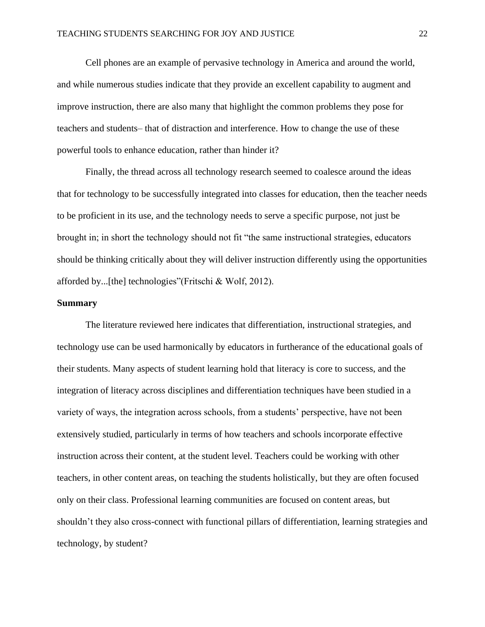Cell phones are an example of pervasive technology in America and around the world, and while numerous studies indicate that they provide an excellent capability to augment and improve instruction, there are also many that highlight the common problems they pose for teachers and students– that of distraction and interference. How to change the use of these powerful tools to enhance education, rather than hinder it?

Finally, the thread across all technology research seemed to coalesce around the ideas that for technology to be successfully integrated into classes for education, then the teacher needs to be proficient in its use, and the technology needs to serve a specific purpose, not just be brought in; in short the technology should not fit "the same instructional strategies, educators should be thinking critically about they will deliver instruction differently using the opportunities afforded by...[the] technologies"(Fritschi & Wolf, 2012).

#### **Summary**

The literature reviewed here indicates that differentiation, instructional strategies, and technology use can be used harmonically by educators in furtherance of the educational goals of their students. Many aspects of student learning hold that literacy is core to success, and the integration of literacy across disciplines and differentiation techniques have been studied in a variety of ways, the integration across schools, from a students' perspective, have not been extensively studied, particularly in terms of how teachers and schools incorporate effective instruction across their content, at the student level. Teachers could be working with other teachers, in other content areas, on teaching the students holistically, but they are often focused only on their class. Professional learning communities are focused on content areas, but shouldn't they also cross-connect with functional pillars of differentiation, learning strategies and technology, by student?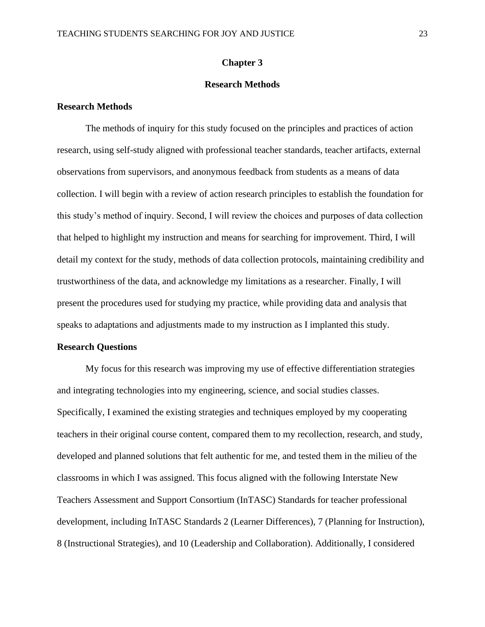#### **Chapter 3**

### **Research Methods**

#### **Research Methods**

The methods of inquiry for this study focused on the principles and practices of action research, using self-study aligned with professional teacher standards, teacher artifacts, external observations from supervisors, and anonymous feedback from students as a means of data collection. I will begin with a review of action research principles to establish the foundation for this study's method of inquiry. Second, I will review the choices and purposes of data collection that helped to highlight my instruction and means for searching for improvement. Third, I will detail my context for the study, methods of data collection protocols, maintaining credibility and trustworthiness of the data, and acknowledge my limitations as a researcher. Finally, I will present the procedures used for studying my practice, while providing data and analysis that speaks to adaptations and adjustments made to my instruction as I implanted this study.

#### **Research Questions**

My focus for this research was improving my use of effective differentiation strategies and integrating technologies into my engineering, science, and social studies classes. Specifically, I examined the existing strategies and techniques employed by my cooperating teachers in their original course content, compared them to my recollection, research, and study, developed and planned solutions that felt authentic for me, and tested them in the milieu of the classrooms in which I was assigned. This focus aligned with the following Interstate New Teachers Assessment and Support Consortium (InTASC) Standards for teacher professional development, including InTASC Standards 2 (Learner Differences), 7 (Planning for Instruction), 8 (Instructional Strategies), and 10 (Leadership and Collaboration). Additionally, I considered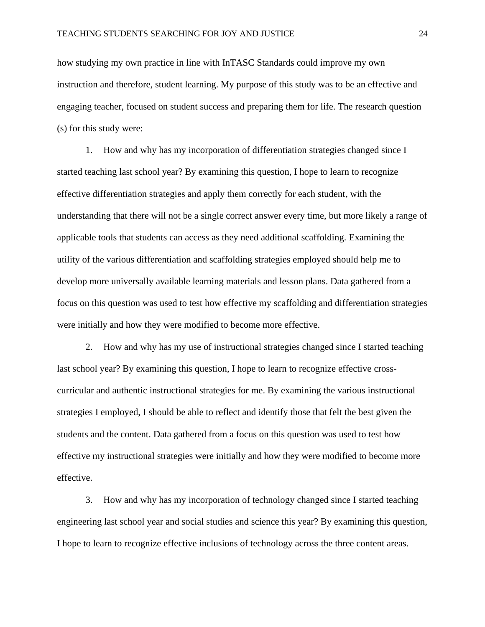how studying my own practice in line with InTASC Standards could improve my own instruction and therefore, student learning. My purpose of this study was to be an effective and engaging teacher, focused on student success and preparing them for life. The research question (s) for this study were:

1. How and why has my incorporation of differentiation strategies changed since I started teaching last school year? By examining this question, I hope to learn to recognize effective differentiation strategies and apply them correctly for each student, with the understanding that there will not be a single correct answer every time, but more likely a range of applicable tools that students can access as they need additional scaffolding*.* Examining the utility of the various differentiation and scaffolding strategies employed should help me to develop more universally available learning materials and lesson plans. Data gathered from a focus on this question was used to test how effective my scaffolding and differentiation strategies were initially and how they were modified to become more effective.

2. How and why has my use of instructional strategies changed since I started teaching last school year? By examining this question, I hope to learn to recognize effective crosscurricular and authentic instructional strategies for me. By examining the various instructional strategies I employed, I should be able to reflect and identify those that felt the best given the students and the content. Data gathered from a focus on this question was used to test how effective my instructional strategies were initially and how they were modified to become more effective.

3. How and why has my incorporation of technology changed since I started teaching engineering last school year and social studies and science this year? By examining this question, I hope to learn to recognize effective inclusions of technology across the three content areas.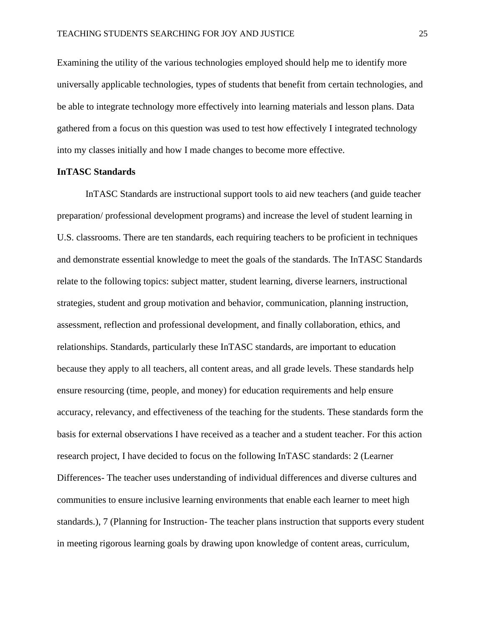Examining the utility of the various technologies employed should help me to identify more universally applicable technologies, types of students that benefit from certain technologies, and be able to integrate technology more effectively into learning materials and lesson plans. Data gathered from a focus on this question was used to test how effectively I integrated technology into my classes initially and how I made changes to become more effective.

#### **InTASC Standards**

InTASC Standards are instructional support tools to aid new teachers (and guide teacher preparation/ professional development programs) and increase the level of student learning in U.S. classrooms. There are ten standards, each requiring teachers to be proficient in techniques and demonstrate essential knowledge to meet the goals of the standards. The InTASC Standards relate to the following topics: subject matter, student learning, diverse learners, instructional strategies, student and group motivation and behavior, communication, planning instruction, assessment, reflection and professional development, and finally collaboration, ethics, and relationships. Standards, particularly these InTASC standards, are important to education because they apply to all teachers, all content areas, and all grade levels. These standards help ensure resourcing (time, people, and money) for education requirements and help ensure accuracy, relevancy, and effectiveness of the teaching for the students. These standards form the basis for external observations I have received as a teacher and a student teacher. For this action research project, I have decided to focus on the following InTASC standards: 2 (Learner Differences- The teacher uses understanding of individual differences and diverse cultures and communities to ensure inclusive learning environments that enable each learner to meet high standards.), 7 (Planning for Instruction- The teacher plans instruction that supports every student in meeting rigorous learning goals by drawing upon knowledge of content areas, curriculum,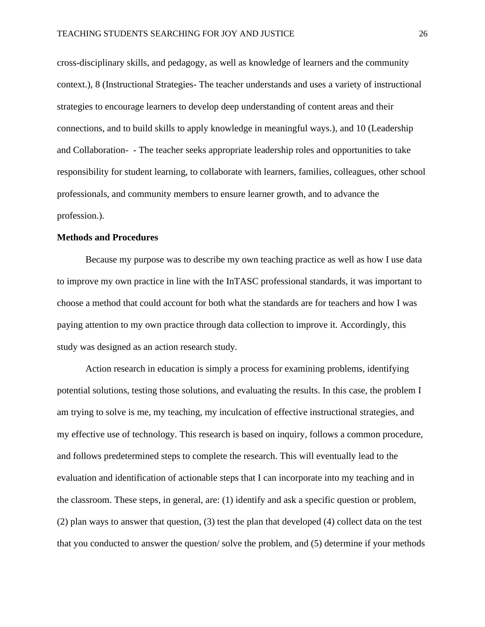cross-disciplinary skills, and pedagogy, as well as knowledge of learners and the community context.), 8 (Instructional Strategies- The teacher understands and uses a variety of instructional strategies to encourage learners to develop deep understanding of content areas and their connections, and to build skills to apply knowledge in meaningful ways.), and 10 (Leadership and Collaboration- - The teacher seeks appropriate leadership roles and opportunities to take responsibility for student learning, to collaborate with learners, families, colleagues, other school professionals, and community members to ensure learner growth, and to advance the profession.).

#### **Methods and Procedures**

Because my purpose was to describe my own teaching practice as well as how I use data to improve my own practice in line with the InTASC professional standards, it was important to choose a method that could account for both what the standards are for teachers and how I was paying attention to my own practice through data collection to improve it. Accordingly, this study was designed as an action research study*.* 

Action research in education is simply a process for examining problems, identifying potential solutions, testing those solutions, and evaluating the results. In this case, the problem I am trying to solve is me, my teaching, my inculcation of effective instructional strategies, and my effective use of technology. This research is based on inquiry, follows a common procedure, and follows predetermined steps to complete the research. This will eventually lead to the evaluation and identification of actionable steps that I can incorporate into my teaching and in the classroom. These steps, in general, are: (1) identify and ask a specific question or problem, (2) plan ways to answer that question, (3) test the plan that developed (4) collect data on the test that you conducted to answer the question/ solve the problem, and (5) determine if your methods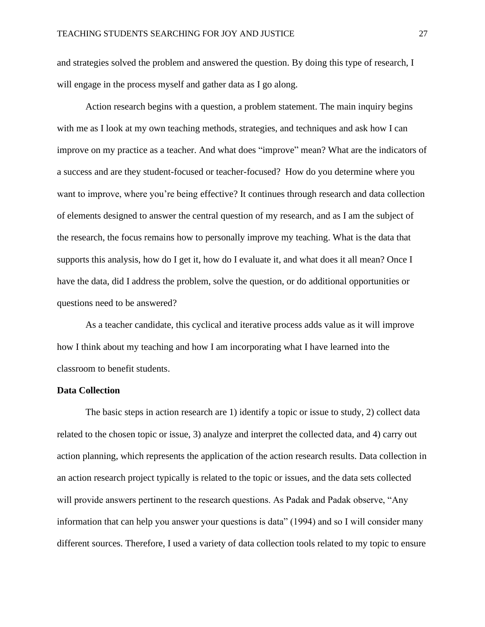and strategies solved the problem and answered the question. By doing this type of research, I will engage in the process myself and gather data as I go along.

Action research begins with a question, a problem statement. The main inquiry begins with me as I look at my own teaching methods, strategies, and techniques and ask how I can improve on my practice as a teacher. And what does "improve" mean? What are the indicators of a success and are they student-focused or teacher-focused? How do you determine where you want to improve, where you're being effective? It continues through research and data collection of elements designed to answer the central question of my research, and as I am the subject of the research, the focus remains how to personally improve my teaching. What is the data that supports this analysis, how do I get it, how do I evaluate it, and what does it all mean? Once I have the data, did I address the problem, solve the question, or do additional opportunities or questions need to be answered?

As a teacher candidate, this cyclical and iterative process adds value as it will improve how I think about my teaching and how I am incorporating what I have learned into the classroom to benefit students.

# **Data Collection**

The basic steps in action research are 1) identify a topic or issue to study, 2) collect data related to the chosen topic or issue, 3) analyze and interpret the collected data, and 4) carry out action planning, which represents the application of the action research results. Data collection in an action research project typically is related to the topic or issues, and the data sets collected will provide answers pertinent to the research questions. As Padak and Padak observe, "Any information that can help you answer your questions is data" (1994) and so I will consider many different sources. Therefore, I used a variety of data collection tools related to my topic to ensure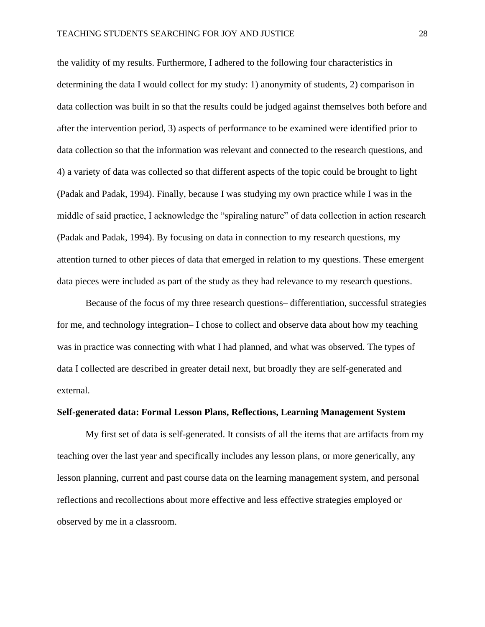the validity of my results. Furthermore, I adhered to the following four characteristics in determining the data I would collect for my study: 1) anonymity of students, 2) comparison in data collection was built in so that the results could be judged against themselves both before and after the intervention period, 3) aspects of performance to be examined were identified prior to data collection so that the information was relevant and connected to the research questions, and 4) a variety of data was collected so that different aspects of the topic could be brought to light (Padak and Padak, 1994). Finally, because I was studying my own practice while I was in the middle of said practice, I acknowledge the "spiraling nature" of data collection in action research (Padak and Padak, 1994). By focusing on data in connection to my research questions, my attention turned to other pieces of data that emerged in relation to my questions. These emergent data pieces were included as part of the study as they had relevance to my research questions.

Because of the focus of my three research questions– differentiation, successful strategies for me, and technology integration– I chose to collect and observe data about how my teaching was in practice was connecting with what I had planned, and what was observed. The types of data I collected are described in greater detail next, but broadly they are self-generated and external.

## **Self-generated data: Formal Lesson Plans, Reflections, Learning Management System**

My first set of data is self-generated. It consists of all the items that are artifacts from my teaching over the last year and specifically includes any lesson plans, or more generically, any lesson planning, current and past course data on the learning management system, and personal reflections and recollections about more effective and less effective strategies employed or observed by me in a classroom.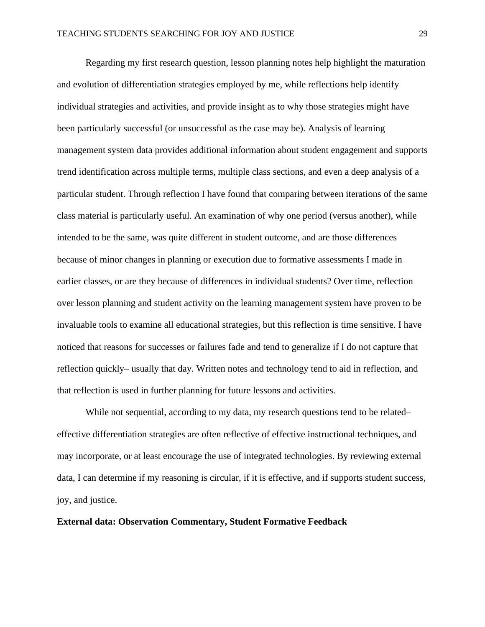Regarding my first research question, lesson planning notes help highlight the maturation and evolution of differentiation strategies employed by me, while reflections help identify individual strategies and activities, and provide insight as to why those strategies might have been particularly successful (or unsuccessful as the case may be). Analysis of learning management system data provides additional information about student engagement and supports trend identification across multiple terms, multiple class sections, and even a deep analysis of a particular student. Through reflection I have found that comparing between iterations of the same class material is particularly useful. An examination of why one period (versus another), while intended to be the same, was quite different in student outcome, and are those differences because of minor changes in planning or execution due to formative assessments I made in earlier classes, or are they because of differences in individual students? Over time, reflection over lesson planning and student activity on the learning management system have proven to be invaluable tools to examine all educational strategies, but this reflection is time sensitive. I have noticed that reasons for successes or failures fade and tend to generalize if I do not capture that reflection quickly– usually that day. Written notes and technology tend to aid in reflection, and that reflection is used in further planning for future lessons and activities.

While not sequential, according to my data, my research questions tend to be related– effective differentiation strategies are often reflective of effective instructional techniques, and may incorporate, or at least encourage the use of integrated technologies. By reviewing external data, I can determine if my reasoning is circular, if it is effective, and if supports student success, joy, and justice.

# **External data: Observation Commentary, Student Formative Feedback**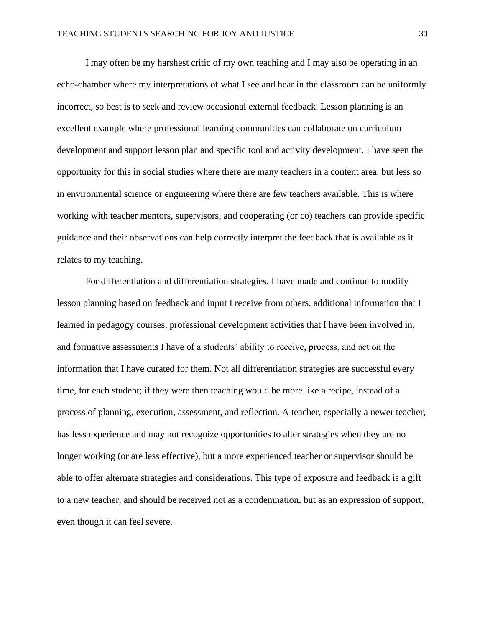I may often be my harshest critic of my own teaching and I may also be operating in an echo-chamber where my interpretations of what I see and hear in the classroom can be uniformly incorrect, so best is to seek and review occasional external feedback. Lesson planning is an excellent example where professional learning communities can collaborate on curriculum development and support lesson plan and specific tool and activity development. I have seen the opportunity for this in social studies where there are many teachers in a content area, but less so in environmental science or engineering where there are few teachers available. This is where working with teacher mentors, supervisors, and cooperating (or co) teachers can provide specific guidance and their observations can help correctly interpret the feedback that is available as it relates to my teaching.

For differentiation and differentiation strategies, I have made and continue to modify lesson planning based on feedback and input I receive from others, additional information that I learned in pedagogy courses, professional development activities that I have been involved in, and formative assessments I have of a students' ability to receive, process, and act on the information that I have curated for them. Not all differentiation strategies are successful every time, for each student; if they were then teaching would be more like a recipe, instead of a process of planning, execution, assessment, and reflection. A teacher, especially a newer teacher, has less experience and may not recognize opportunities to alter strategies when they are no longer working (or are less effective), but a more experienced teacher or supervisor should be able to offer alternate strategies and considerations. This type of exposure and feedback is a gift to a new teacher, and should be received not as a condemnation, but as an expression of support, even though it can feel severe.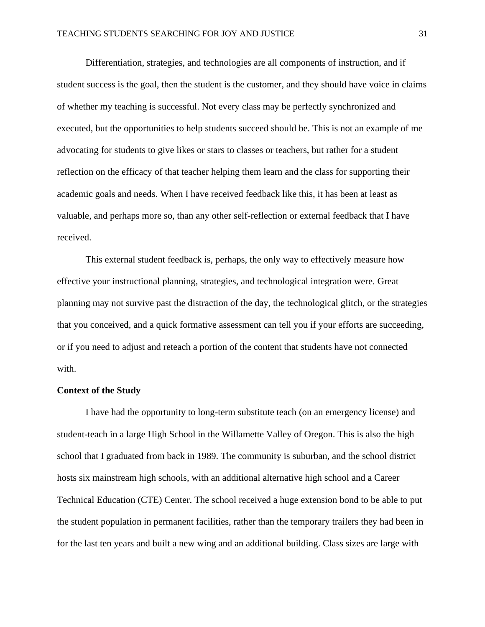Differentiation, strategies, and technologies are all components of instruction, and if student success is the goal, then the student is the customer, and they should have voice in claims of whether my teaching is successful. Not every class may be perfectly synchronized and executed, but the opportunities to help students succeed should be. This is not an example of me advocating for students to give likes or stars to classes or teachers, but rather for a student reflection on the efficacy of that teacher helping them learn and the class for supporting their academic goals and needs. When I have received feedback like this, it has been at least as valuable, and perhaps more so, than any other self-reflection or external feedback that I have received.

This external student feedback is, perhaps, the only way to effectively measure how effective your instructional planning, strategies, and technological integration were. Great planning may not survive past the distraction of the day, the technological glitch, or the strategies that you conceived, and a quick formative assessment can tell you if your efforts are succeeding, or if you need to adjust and reteach a portion of the content that students have not connected with.

#### **Context of the Study**

I have had the opportunity to long-term substitute teach (on an emergency license) and student-teach in a large High School in the Willamette Valley of Oregon. This is also the high school that I graduated from back in 1989. The community is suburban, and the school district hosts six mainstream high schools, with an additional alternative high school and a Career Technical Education (CTE) Center. The school received a huge extension bond to be able to put the student population in permanent facilities, rather than the temporary trailers they had been in for the last ten years and built a new wing and an additional building. Class sizes are large with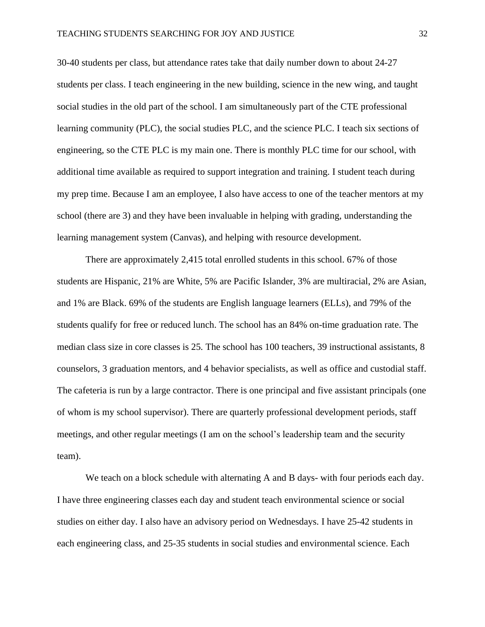30-40 students per class, but attendance rates take that daily number down to about 24-27 students per class. I teach engineering in the new building, science in the new wing, and taught social studies in the old part of the school. I am simultaneously part of the CTE professional learning community (PLC), the social studies PLC, and the science PLC. I teach six sections of engineering, so the CTE PLC is my main one. There is monthly PLC time for our school, with additional time available as required to support integration and training. I student teach during my prep time. Because I am an employee, I also have access to one of the teacher mentors at my school (there are 3) and they have been invaluable in helping with grading, understanding the learning management system (Canvas), and helping with resource development*.*

There are approximately 2,415 total enrolled students in this school. 67% of those students are Hispanic, 21% are White, 5% are Pacific Islander, 3% are multiracial, 2% are Asian, and 1% are Black. 69% of the students are English language learners (ELLs), and 79% of the students qualify for free or reduced lunch. The school has an 84% on-time graduation rate. The median class size in core classes is 25*.* The school has 100 teachers, 39 instructional assistants, 8 counselors, 3 graduation mentors, and 4 behavior specialists, as well as office and custodial staff. The cafeteria is run by a large contractor. There is one principal and five assistant principals (one of whom is my school supervisor). There are quarterly professional development periods, staff meetings, and other regular meetings (I am on the school's leadership team and the security team).

We teach on a block schedule with alternating A and B days- with four periods each day. I have three engineering classes each day and student teach environmental science or social studies on either day. I also have an advisory period on Wednesdays. I have 25-42 students in each engineering class, and 25-35 students in social studies and environmental science. Each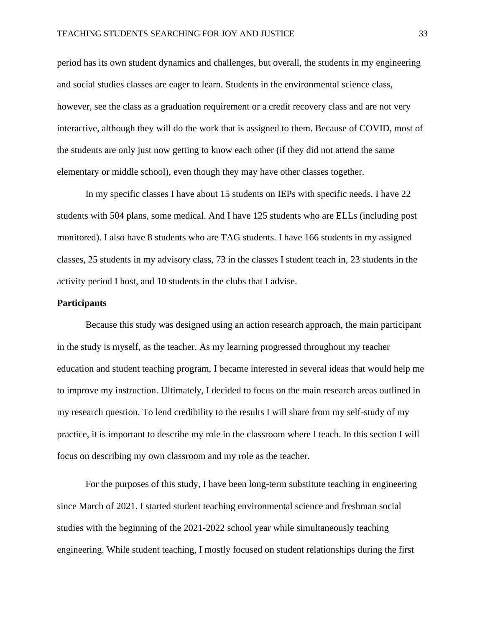period has its own student dynamics and challenges, but overall, the students in my engineering and social studies classes are eager to learn. Students in the environmental science class, however, see the class as a graduation requirement or a credit recovery class and are not very interactive, although they will do the work that is assigned to them. Because of COVID, most of the students are only just now getting to know each other (if they did not attend the same elementary or middle school), even though they may have other classes together.

In my specific classes I have about 15 students on IEPs with specific needs. I have 22 students with 504 plans, some medical. And I have 125 students who are ELLs (including post monitored). I also have 8 students who are TAG students. I have 166 students in my assigned classes, 25 students in my advisory class, 73 in the classes I student teach in, 23 students in the activity period I host, and 10 students in the clubs that I advise.

# **Participants**

Because this study was designed using an action research approach, the main participant in the study is myself, as the teacher. As my learning progressed throughout my teacher education and student teaching program, I became interested in several ideas that would help me to improve my instruction. Ultimately, I decided to focus on the main research areas outlined in my research question. To lend credibility to the results I will share from my self-study of my practice, it is important to describe my role in the classroom where I teach. In this section I will focus on describing my own classroom and my role as the teacher.

For the purposes of this study, I have been long-term substitute teaching in engineering since March of 2021. I started student teaching environmental science and freshman social studies with the beginning of the 2021-2022 school year while simultaneously teaching engineering. While student teaching, I mostly focused on student relationships during the first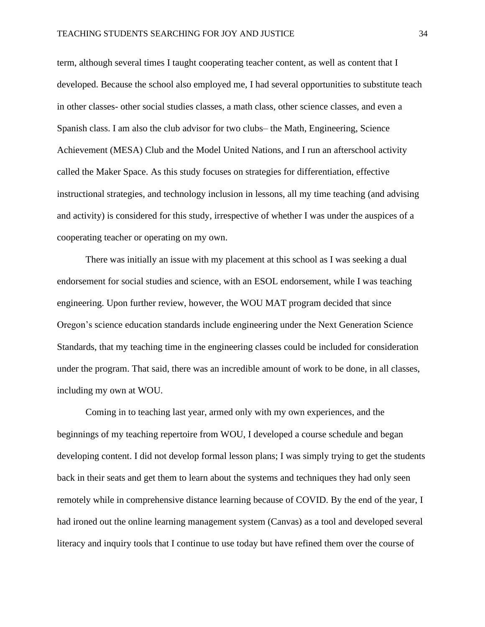term, although several times I taught cooperating teacher content, as well as content that I developed. Because the school also employed me, I had several opportunities to substitute teach in other classes- other social studies classes, a math class, other science classes, and even a Spanish class. I am also the club advisor for two clubs– the Math, Engineering, Science Achievement (MESA) Club and the Model United Nations, and I run an afterschool activity called the Maker Space. As this study focuses on strategies for differentiation, effective instructional strategies, and technology inclusion in lessons, all my time teaching (and advising and activity) is considered for this study, irrespective of whether I was under the auspices of a cooperating teacher or operating on my own.

There was initially an issue with my placement at this school as I was seeking a dual endorsement for social studies and science, with an ESOL endorsement, while I was teaching engineering. Upon further review, however, the WOU MAT program decided that since Oregon's science education standards include engineering under the Next Generation Science Standards, that my teaching time in the engineering classes could be included for consideration under the program. That said, there was an incredible amount of work to be done, in all classes, including my own at WOU.

Coming in to teaching last year, armed only with my own experiences, and the beginnings of my teaching repertoire from WOU, I developed a course schedule and began developing content. I did not develop formal lesson plans; I was simply trying to get the students back in their seats and get them to learn about the systems and techniques they had only seen remotely while in comprehensive distance learning because of COVID. By the end of the year, I had ironed out the online learning management system (Canvas) as a tool and developed several literacy and inquiry tools that I continue to use today but have refined them over the course of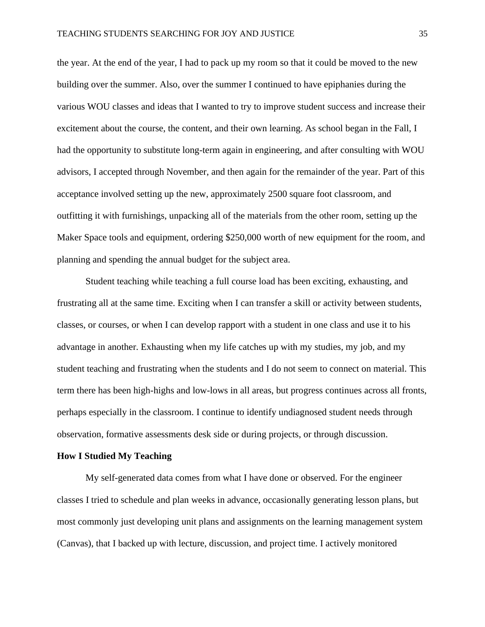the year. At the end of the year, I had to pack up my room so that it could be moved to the new building over the summer. Also, over the summer I continued to have epiphanies during the various WOU classes and ideas that I wanted to try to improve student success and increase their excitement about the course, the content, and their own learning. As school began in the Fall, I had the opportunity to substitute long-term again in engineering, and after consulting with WOU advisors, I accepted through November, and then again for the remainder of the year. Part of this acceptance involved setting up the new, approximately 2500 square foot classroom, and outfitting it with furnishings, unpacking all of the materials from the other room, setting up the Maker Space tools and equipment, ordering \$250,000 worth of new equipment for the room, and planning and spending the annual budget for the subject area.

Student teaching while teaching a full course load has been exciting, exhausting, and frustrating all at the same time. Exciting when I can transfer a skill or activity between students, classes, or courses, or when I can develop rapport with a student in one class and use it to his advantage in another. Exhausting when my life catches up with my studies, my job, and my student teaching and frustrating when the students and I do not seem to connect on material. This term there has been high-highs and low-lows in all areas, but progress continues across all fronts, perhaps especially in the classroom. I continue to identify undiagnosed student needs through observation, formative assessments desk side or during projects, or through discussion.

#### **How I Studied My Teaching**

My self-generated data comes from what I have done or observed. For the engineer classes I tried to schedule and plan weeks in advance, occasionally generating lesson plans, but most commonly just developing unit plans and assignments on the learning management system (Canvas), that I backed up with lecture, discussion, and project time. I actively monitored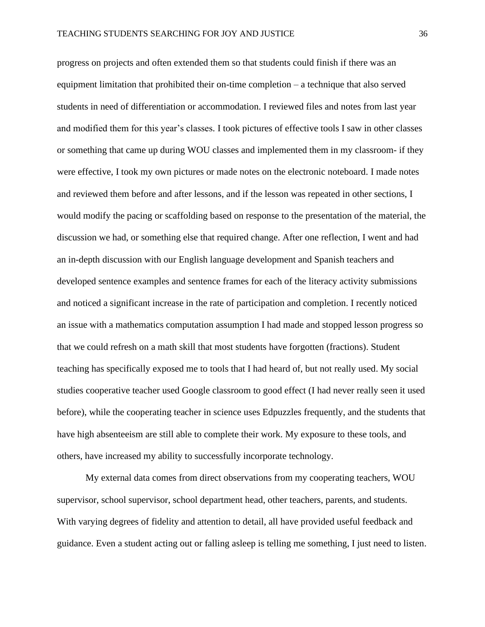progress on projects and often extended them so that students could finish if there was an equipment limitation that prohibited their on-time completion – a technique that also served students in need of differentiation or accommodation. I reviewed files and notes from last year and modified them for this year's classes. I took pictures of effective tools I saw in other classes or something that came up during WOU classes and implemented them in my classroom- if they were effective, I took my own pictures or made notes on the electronic noteboard. I made notes and reviewed them before and after lessons, and if the lesson was repeated in other sections, I would modify the pacing or scaffolding based on response to the presentation of the material, the discussion we had, or something else that required change. After one reflection, I went and had an in-depth discussion with our English language development and Spanish teachers and developed sentence examples and sentence frames for each of the literacy activity submissions and noticed a significant increase in the rate of participation and completion. I recently noticed an issue with a mathematics computation assumption I had made and stopped lesson progress so that we could refresh on a math skill that most students have forgotten (fractions). Student teaching has specifically exposed me to tools that I had heard of, but not really used. My social studies cooperative teacher used Google classroom to good effect (I had never really seen it used before), while the cooperating teacher in science uses Edpuzzles frequently, and the students that have high absenteeism are still able to complete their work. My exposure to these tools, and others, have increased my ability to successfully incorporate technology.

My external data comes from direct observations from my cooperating teachers, WOU supervisor, school supervisor, school department head, other teachers, parents, and students. With varying degrees of fidelity and attention to detail, all have provided useful feedback and guidance. Even a student acting out or falling asleep is telling me something, I just need to listen.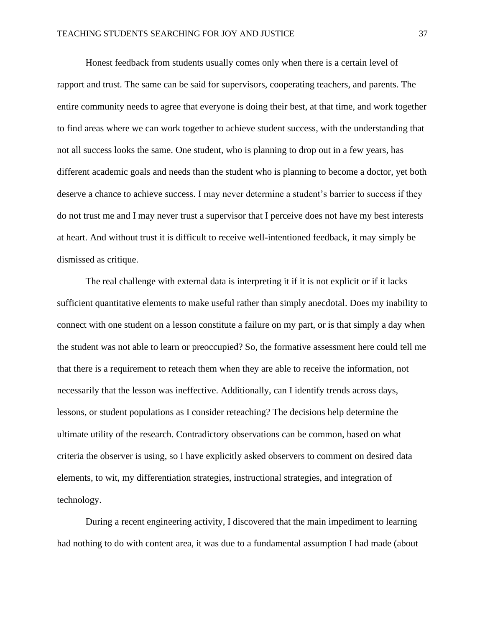Honest feedback from students usually comes only when there is a certain level of rapport and trust. The same can be said for supervisors, cooperating teachers, and parents. The entire community needs to agree that everyone is doing their best, at that time, and work together to find areas where we can work together to achieve student success, with the understanding that not all success looks the same. One student, who is planning to drop out in a few years, has different academic goals and needs than the student who is planning to become a doctor, yet both deserve a chance to achieve success. I may never determine a student's barrier to success if they do not trust me and I may never trust a supervisor that I perceive does not have my best interests at heart. And without trust it is difficult to receive well-intentioned feedback, it may simply be dismissed as critique.

The real challenge with external data is interpreting it if it is not explicit or if it lacks sufficient quantitative elements to make useful rather than simply anecdotal. Does my inability to connect with one student on a lesson constitute a failure on my part, or is that simply a day when the student was not able to learn or preoccupied? So, the formative assessment here could tell me that there is a requirement to reteach them when they are able to receive the information, not necessarily that the lesson was ineffective. Additionally, can I identify trends across days, lessons, or student populations as I consider reteaching? The decisions help determine the ultimate utility of the research. Contradictory observations can be common, based on what criteria the observer is using, so I have explicitly asked observers to comment on desired data elements, to wit, my differentiation strategies, instructional strategies, and integration of technology.

During a recent engineering activity, I discovered that the main impediment to learning had nothing to do with content area, it was due to a fundamental assumption I had made (about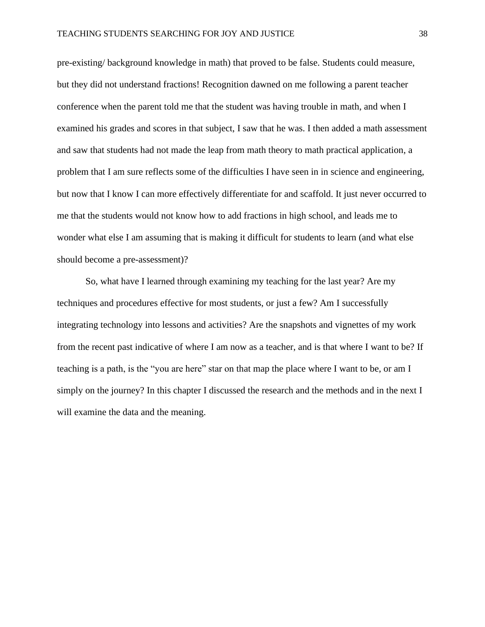pre-existing/ background knowledge in math) that proved to be false. Students could measure, but they did not understand fractions! Recognition dawned on me following a parent teacher conference when the parent told me that the student was having trouble in math, and when I examined his grades and scores in that subject, I saw that he was. I then added a math assessment and saw that students had not made the leap from math theory to math practical application, a problem that I am sure reflects some of the difficulties I have seen in in science and engineering, but now that I know I can more effectively differentiate for and scaffold. It just never occurred to me that the students would not know how to add fractions in high school, and leads me to wonder what else I am assuming that is making it difficult for students to learn (and what else should become a pre-assessment)?

So, what have I learned through examining my teaching for the last year? Are my techniques and procedures effective for most students, or just a few? Am I successfully integrating technology into lessons and activities? Are the snapshots and vignettes of my work from the recent past indicative of where I am now as a teacher, and is that where I want to be? If teaching is a path, is the "you are here" star on that map the place where I want to be, or am I simply on the journey? In this chapter I discussed the research and the methods and in the next I will examine the data and the meaning.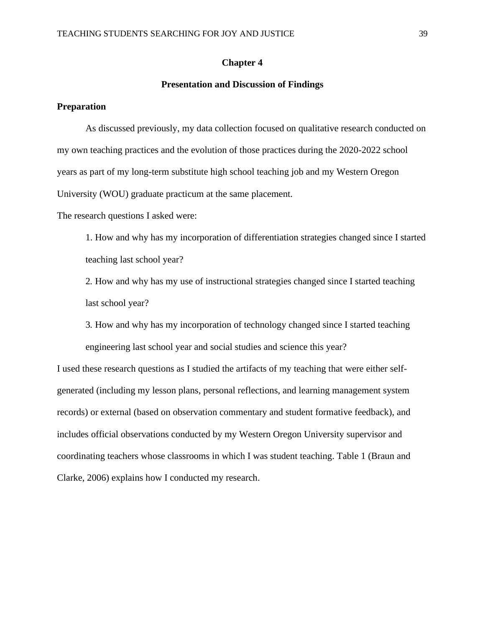# **Chapter 4**

# **Presentation and Discussion of Findings**

# **Preparation**

As discussed previously, my data collection focused on qualitative research conducted on my own teaching practices and the evolution of those practices during the 2020-2022 school years as part of my long-term substitute high school teaching job and my Western Oregon University (WOU) graduate practicum at the same placement.

The research questions I asked were:

1. How and why has my incorporation of differentiation strategies changed since I started teaching last school year?

2*.* How and why has my use of instructional strategies changed since I started teaching last school year?

3*.* How and why has my incorporation of technology changed since I started teaching engineering last school year and social studies and science this year?

I used these research questions as I studied the artifacts of my teaching that were either selfgenerated (including my lesson plans, personal reflections, and learning management system records) or external (based on observation commentary and student formative feedback), and includes official observations conducted by my Western Oregon University supervisor and coordinating teachers whose classrooms in which I was student teaching. Table 1 (Braun and Clarke, 2006) explains how I conducted my research.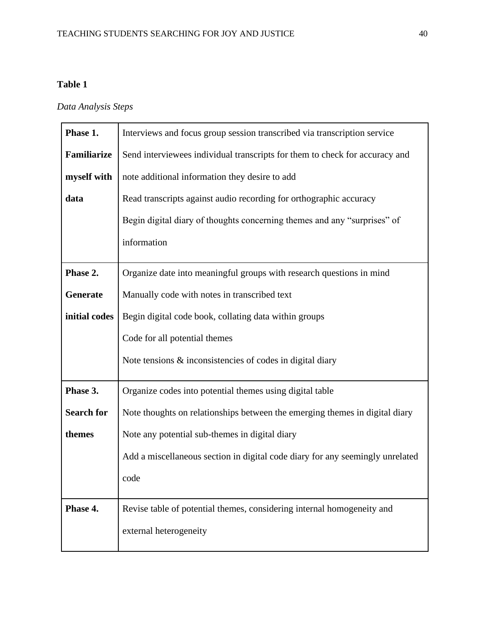# **Table 1**

# *Data Analysis Steps*

| Phase 1.          | Interviews and focus group session transcribed via transcription service      |
|-------------------|-------------------------------------------------------------------------------|
| Familiarize       | Send interviewees individual transcripts for them to check for accuracy and   |
| myself with       | note additional information they desire to add                                |
| data              | Read transcripts against audio recording for orthographic accuracy            |
|                   | Begin digital diary of thoughts concerning themes and any "surprises" of      |
|                   | information                                                                   |
| Phase 2.          | Organize date into meaningful groups with research questions in mind          |
| Generate          | Manually code with notes in transcribed text                                  |
| initial codes     | Begin digital code book, collating data within groups                         |
|                   | Code for all potential themes                                                 |
|                   | Note tensions $\&$ inconsistencies of codes in digital diary                  |
| Phase 3.          | Organize codes into potential themes using digital table                      |
| <b>Search for</b> | Note thoughts on relationships between the emerging themes in digital diary   |
| themes            | Note any potential sub-themes in digital diary                                |
|                   | Add a miscellaneous section in digital code diary for any seemingly unrelated |
|                   | code                                                                          |
| Phase 4.          | Revise table of potential themes, considering internal homogeneity and        |
|                   | external heterogeneity                                                        |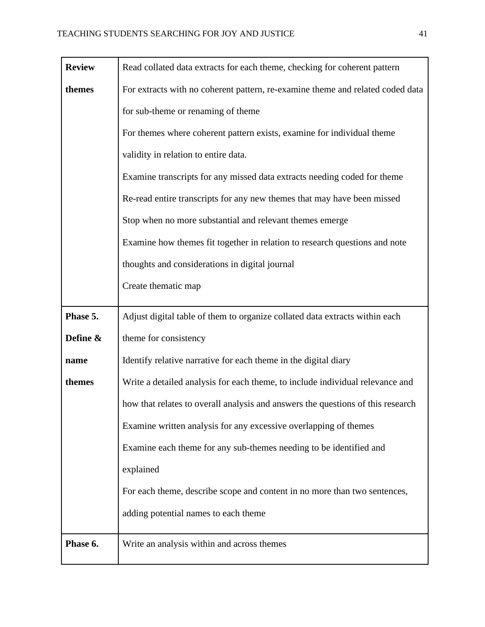| <b>Review</b> | Read collated data extracts for each theme, checking for coherent pattern       |
|---------------|---------------------------------------------------------------------------------|
| themes        | For extracts with no coherent pattern, re-examine theme and related coded data  |
|               | for sub-theme or renaming of theme                                              |
|               | For themes where coherent pattern exists, examine for individual theme          |
|               | validity in relation to entire data.                                            |
|               | Examine transcripts for any missed data extracts needing coded for theme        |
|               | Re-read entire transcripts for any new themes that may have been missed         |
|               | Stop when no more substantial and relevant themes emerge                        |
|               | Examine how themes fit together in relation to research questions and note      |
|               | thoughts and considerations in digital journal                                  |
|               | Create thematic map                                                             |
| Phase 5.      | Adjust digital table of them to organize collated data extracts within each     |
| Define &      | theme for consistency                                                           |
| name          | Identify relative narrative for each theme in the digital diary                 |
| themes        | Write a detailed analysis for each theme, to include individual relevance and   |
|               | how that relates to overall analysis and answers the questions of this research |
|               | Examine written analysis for any excessive overlapping of themes                |
|               | Examine each theme for any sub-themes needing to be identified and              |
|               | explained                                                                       |
|               | For each theme, describe scope and content in no more than two sentences,       |
|               | adding potential names to each theme                                            |
| Phase 6.      | Write an analysis within and across themes                                      |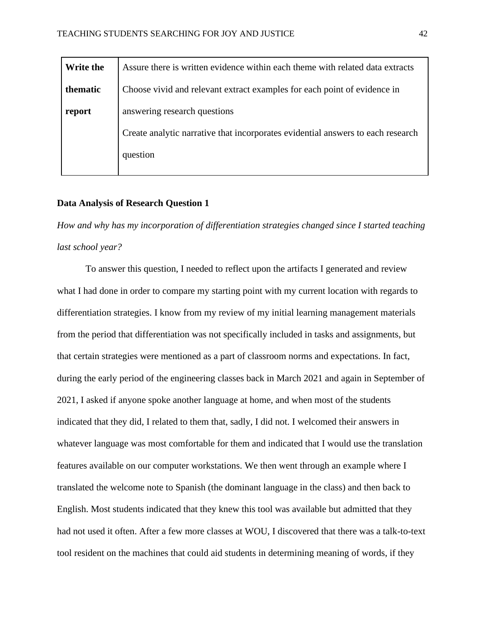| Write the | Assure there is written evidence within each theme with related data extracts   |
|-----------|---------------------------------------------------------------------------------|
| thematic  | Choose vivid and relevant extract examples for each point of evidence in        |
| report    | answering research questions                                                    |
|           | Create analytic narrative that incorporates evidential answers to each research |
|           | question                                                                        |
|           |                                                                                 |

# **Data Analysis of Research Question 1**

*How and why has my incorporation of differentiation strategies changed since I started teaching last school year?* 

To answer this question, I needed to reflect upon the artifacts I generated and review what I had done in order to compare my starting point with my current location with regards to differentiation strategies. I know from my review of my initial learning management materials from the period that differentiation was not specifically included in tasks and assignments, but that certain strategies were mentioned as a part of classroom norms and expectations. In fact, during the early period of the engineering classes back in March 2021 and again in September of 2021, I asked if anyone spoke another language at home, and when most of the students indicated that they did, I related to them that, sadly, I did not. I welcomed their answers in whatever language was most comfortable for them and indicated that I would use the translation features available on our computer workstations. We then went through an example where I translated the welcome note to Spanish (the dominant language in the class) and then back to English. Most students indicated that they knew this tool was available but admitted that they had not used it often. After a few more classes at WOU, I discovered that there was a talk-to-text tool resident on the machines that could aid students in determining meaning of words, if they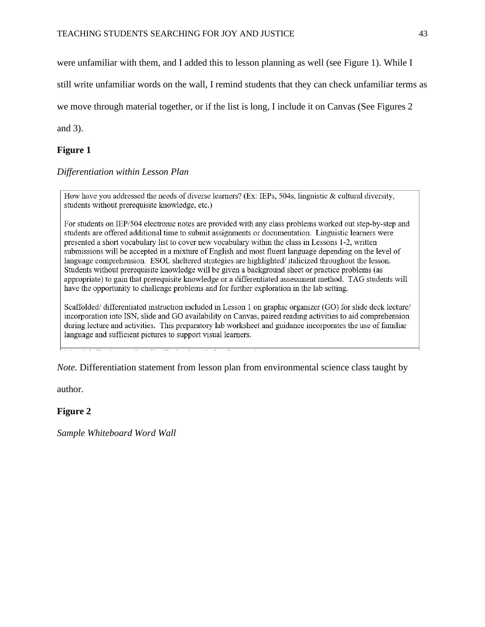were unfamiliar with them, and I added this to lesson planning as well (see Figure 1). While I

still write unfamiliar words on the wall, I remind students that they can check unfamiliar terms as

we move through material together, or if the list is long, I include it on Canvas (See Figures 2

and 3).

# **Figure 1**

*Differentiation within Lesson Plan*

How have you addressed the needs of diverse learners? (Ex: IEPs, 504s, linguistic & cultural diversity, students without prerequisite knowledge, etc.)

For students on IEP/504 electronic notes are provided with any class problems worked out step-by-step and students are offered additional time to submit assignments or documentation. Linguistic learners were presented a short vocabulary list to cover new vocabulary within the class in Lessons 1-2, written submissions will be accepted in a mixture of English and most fluent language depending on the level of language comprehension. ESOL sheltered strategies are highlighted/italicized throughout the lesson. Students without prerequisite knowledge will be given a background sheet or practice problems (as appropriate) to gain that prerequisite knowledge or a differentiated assessment method. TAG students will have the opportunity to challenge problems and for further exploration in the lab setting.

Scaffolded/differentiated instruction included in Lesson 1 on graphic organizer (GO) for slide deck lecture/ incorporation into ISN, slide and GO availability on Canvas, paired reading activities to aid comprehension during lecture and activities. This preparatory lab worksheet and guidance incorporates the use of familiar language and sufficient pictures to support visual learners.

*Note.* Differentiation statement from lesson plan from environmental science class taught by

author.

# **Figure 2**

*Sample Whiteboard Word Wall*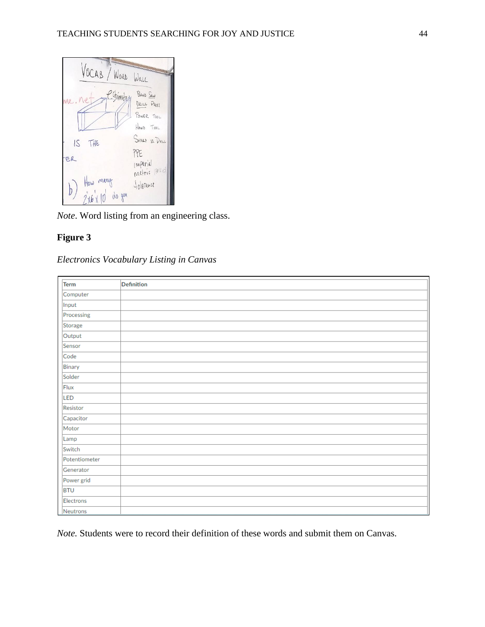

*Note*. Word listing from an engineering class.

# **Figure 3**

# *Electronics Vocabulary Listing in Canvas*

| Term          | Definition |
|---------------|------------|
| Computer      |            |
| Input         |            |
| Processing    |            |
| Storage       |            |
| Output        |            |
| Sensor        |            |
| Code          |            |
| Binary        |            |
| Solder        |            |
| Flux          |            |
| LED           |            |
| Resistor      |            |
| Capacitor     |            |
| Motor         |            |
| Lamp          |            |
| Switch        |            |
| Potentiometer |            |
| Generator     |            |
| Power grid    |            |
| <b>BTU</b>    |            |
| Electrons     |            |
| Neutrons      |            |

*Note.* Students were to record their definition of these words and submit them on Canvas.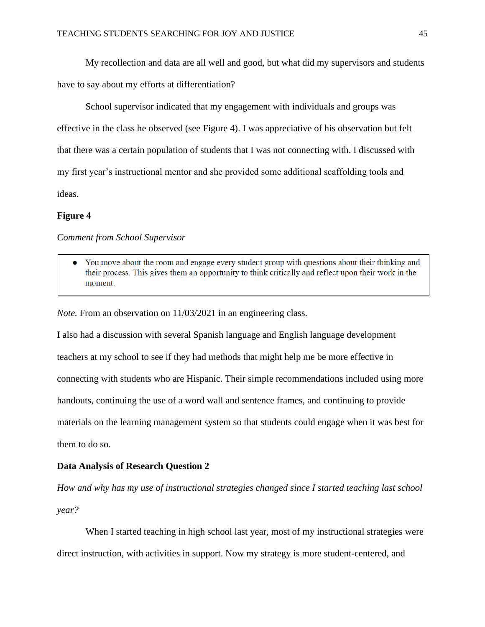My recollection and data are all well and good, but what did my supervisors and students have to say about my efforts at differentiation?

School supervisor indicated that my engagement with individuals and groups was effective in the class he observed (see Figure 4). I was appreciative of his observation but felt that there was a certain population of students that I was not connecting with. I discussed with my first year's instructional mentor and she provided some additional scaffolding tools and ideas.

# **Figure 4**

*Comment from School Supervisor*

• You move about the room and engage every student group with questions about their thinking and their process. This gives them an opportunity to think critically and reflect upon their work in the moment.

*Note.* From an observation on 11/03/2021 in an engineering class.

I also had a discussion with several Spanish language and English language development teachers at my school to see if they had methods that might help me be more effective in connecting with students who are Hispanic. Their simple recommendations included using more handouts, continuing the use of a word wall and sentence frames, and continuing to provide materials on the learning management system so that students could engage when it was best for them to do so.

# **Data Analysis of Research Question 2**

*How and why has my use of instructional strategies changed since I started teaching last school year?*

When I started teaching in high school last year, most of my instructional strategies were direct instruction, with activities in support. Now my strategy is more student-centered, and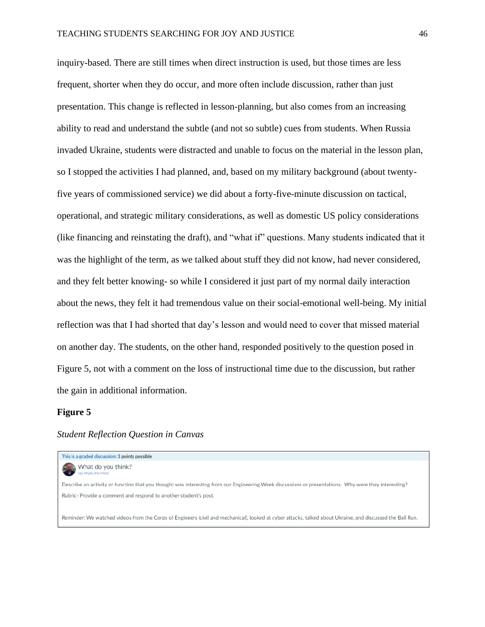inquiry-based. There are still times when direct instruction is used, but those times are less frequent, shorter when they do occur, and more often include discussion, rather than just presentation. This change is reflected in lesson-planning, but also comes from an increasing ability to read and understand the subtle (and not so subtle) cues from students. When Russia invaded Ukraine, students were distracted and unable to focus on the material in the lesson plan, so I stopped the activities I had planned, and, based on my military background (about twentyfive years of commissioned service) we did about a forty-five-minute discussion on tactical, operational, and strategic military considerations, as well as domestic US policy considerations (like financing and reinstating the draft), and "what if" questions. Many students indicated that it was the highlight of the term, as we talked about stuff they did not know, had never considered, and they felt better knowing- so while I considered it just part of my normal daily interaction about the news, they felt it had tremendous value on their social-emotional well-being. My initial reflection was that I had shorted that day's lesson and would need to cover that missed material on another day. The students, on the other hand, responded positively to the question posed in Figure 5, not with a comment on the loss of instructional time due to the discussion, but rather the gain in additional information.

#### **Figure 5**

# *Student Reflection Question in Canvas*

This is a graded discussion: 3 points possible What do you think? Describe an activity or function that you thought was interesting from our Engineering Week discussions or presentations. Why were they interesting? Rubric- Provide a comment and respond to another student's post. Reminder: We watched videos from the Corps of Engineers (civil and mechanical), looked at cyber attacks, talked about Ukraine, and discussed the Ball Run.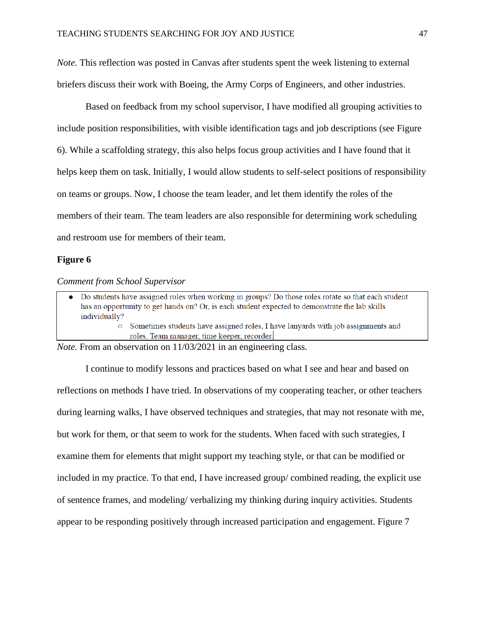*Note.* This reflection was posted in Canvas after students spent the week listening to external briefers discuss their work with Boeing, the Army Corps of Engineers, and other industries.

Based on feedback from my school supervisor, I have modified all grouping activities to include position responsibilities, with visible identification tags and job descriptions (see Figure 6). While a scaffolding strategy, this also helps focus group activities and I have found that it helps keep them on task. Initially, I would allow students to self-select positions of responsibility on teams or groups. Now, I choose the team leader, and let them identify the roles of the members of their team. The team leaders are also responsible for determining work scheduling and restroom use for members of their team.

# **Figure 6**

#### *Comment from School Supervisor*

Do students have assigned roles when working in groups? Do those roles rotate so that each student has an opportunity to get hands on? Or, is each student expected to demonstrate the lab skills individually? • Sometimes students have assigned roles, I have lanyards with job assignments and roles. Team manager, time keeper, recorder.

*Note.* From an observation on 11/03/2021 in an engineering class.

I continue to modify lessons and practices based on what I see and hear and based on reflections on methods I have tried. In observations of my cooperating teacher, or other teachers during learning walks, I have observed techniques and strategies, that may not resonate with me, but work for them, or that seem to work for the students. When faced with such strategies, I examine them for elements that might support my teaching style, or that can be modified or included in my practice. To that end, I have increased group/ combined reading, the explicit use of sentence frames, and modeling/ verbalizing my thinking during inquiry activities. Students appear to be responding positively through increased participation and engagement. Figure 7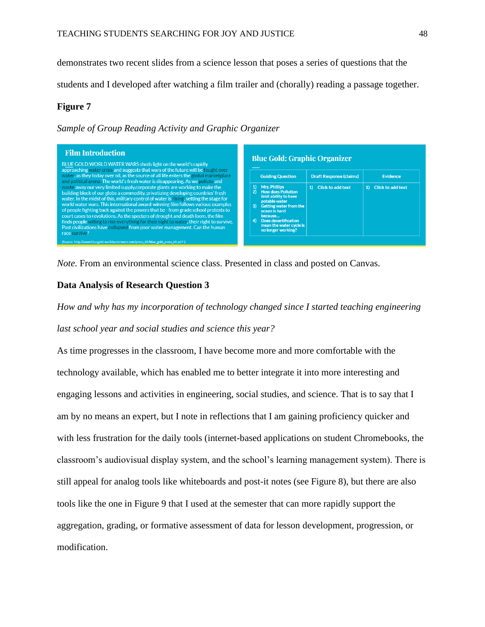demonstrates two recent slides from a science lesson that poses a series of questions that the

students and I developed after watching a film trailer and (chorally) reading a passage together.

# **Figure 7**

*Sample of Group Reading Activity and Graphic Organizer* 



*Note.* From an environmental science class. Presented in class and posted on Canvas.

# **Data Analysis of Research Question 3**

*How and why has my incorporation of technology changed since I started teaching engineering last school year and social studies and science this year?* 

As time progresses in the classroom, I have become more and more comfortable with the technology available, which has enabled me to better integrate it into more interesting and engaging lessons and activities in engineering, social studies, and science. That is to say that I am by no means an expert, but I note in reflections that I am gaining proficiency quicker and with less frustration for the daily tools (internet-based applications on student Chromebooks, the classroom's audiovisual display system, and the school's learning management system). There is still appeal for analog tools like whiteboards and post-it notes (see Figure 8), but there are also tools like the one in Figure 9 that I used at the semester that can more rapidly support the aggregation, grading, or formative assessment of data for lesson development, progression, or modification.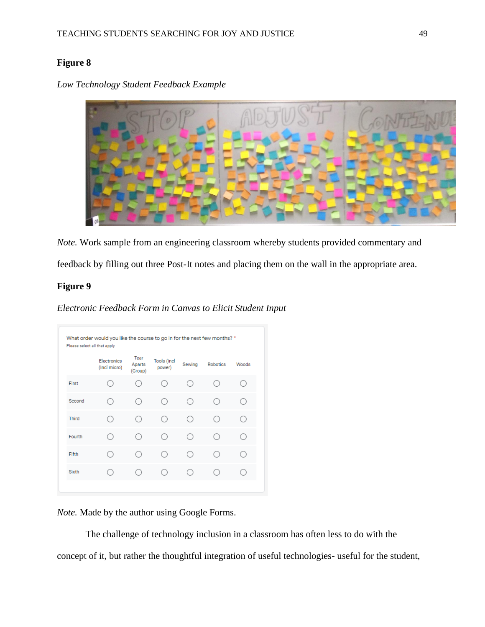# **Figure 8**



*Low Technology Student Feedback Example*

*Note.* Work sample from an engineering classroom whereby students provided commentary and

feedback by filling out three Post-It notes and placing them on the wall in the appropriate area.

# **Figure 9**

*Electronic Feedback Form in Canvas to Elicit Student Input*

|              | Electronics<br>(Incl micro) | Tear<br>Aparts<br>(Group) | <b>Tools (incl</b><br>power) | Sewing | Robotics | Woods |
|--------------|-----------------------------|---------------------------|------------------------------|--------|----------|-------|
| First        |                             |                           |                              |        |          |       |
| Second       |                             |                           | 0                            | ( )    |          |       |
| Third        |                             |                           | C                            | ( )    |          |       |
| Fourth       |                             |                           | ι.                           | ( )    |          |       |
| Fifth        |                             |                           |                              | ()     |          |       |
| <b>Sixth</b> |                             |                           |                              |        |          |       |

*Note.* Made by the author using Google Forms.

The challenge of technology inclusion in a classroom has often less to do with the concept of it, but rather the thoughtful integration of useful technologies- useful for the student,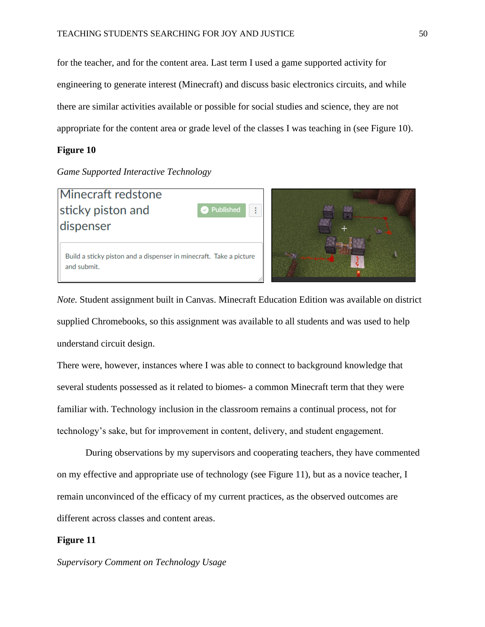for the teacher, and for the content area. Last term I used a game supported activity for engineering to generate interest (Minecraft) and discuss basic electronics circuits, and while there are similar activities available or possible for social studies and science, they are not appropriate for the content area or grade level of the classes I was teaching in (see Figure 10).

#### **Figure 10**

# *Game Supported Interactive Technology*



*Note.* Student assignment built in Canvas. Minecraft Education Edition was available on district supplied Chromebooks, so this assignment was available to all students and was used to help understand circuit design.

There were, however, instances where I was able to connect to background knowledge that several students possessed as it related to biomes- a common Minecraft term that they were familiar with. Technology inclusion in the classroom remains a continual process, not for technology's sake, but for improvement in content, delivery, and student engagement.

During observations by my supervisors and cooperating teachers, they have commented on my effective and appropriate use of technology (see Figure 11), but as a novice teacher, I remain unconvinced of the efficacy of my current practices, as the observed outcomes are different across classes and content areas.

# **Figure 11**

*Supervisory Comment on Technology Usage*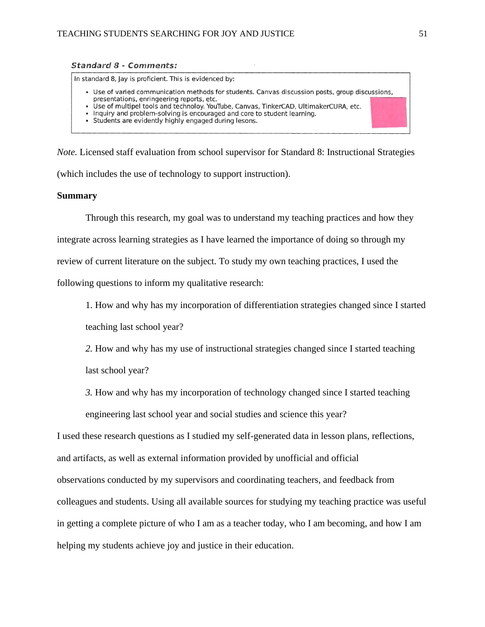#### **Standard 8 - Comments:**

In standard 8, Jay is proficient. This is evidenced by: • Use of varied communication methods for students. Canvas discussion posts, group discussions, presentations, enringeering reports, etc. Use of multipel tools and technoloy. YouTube, Canvas, TinkerCAD, UltimakerCURA, etc. · Inquiry and problem-solving is encouraged and core to student learning. • Students are evidently highly engaged during lesons.

*Note.* Licensed staff evaluation from school supervisor for Standard 8: Instructional Strategies (which includes the use of technology to support instruction).

# **Summary**

Through this research, my goal was to understand my teaching practices and how they integrate across learning strategies as I have learned the importance of doing so through my review of current literature on the subject. To study my own teaching practices, I used the following questions to inform my qualitative research:

1. How and why has my incorporation of differentiation strategies changed since I started

teaching last school year?

*2.* How and why has my use of instructional strategies changed since I started teaching last school year?

*3.* How and why has my incorporation of technology changed since I started teaching engineering last school year and social studies and science this year?

I used these research questions as I studied my self-generated data in lesson plans, reflections, and artifacts, as well as external information provided by unofficial and official observations conducted by my supervisors and coordinating teachers, and feedback from colleagues and students. Using all available sources for studying my teaching practice was useful in getting a complete picture of who I am as a teacher today, who I am becoming, and how I am helping my students achieve joy and justice in their education.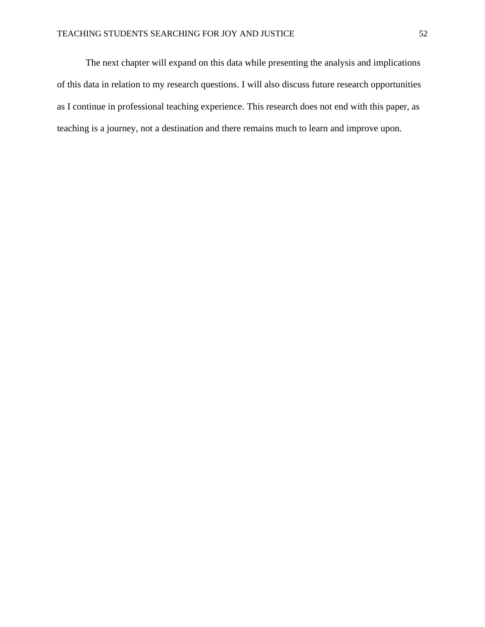The next chapter will expand on this data while presenting the analysis and implications of this data in relation to my research questions. I will also discuss future research opportunities as I continue in professional teaching experience. This research does not end with this paper, as teaching is a journey, not a destination and there remains much to learn and improve upon.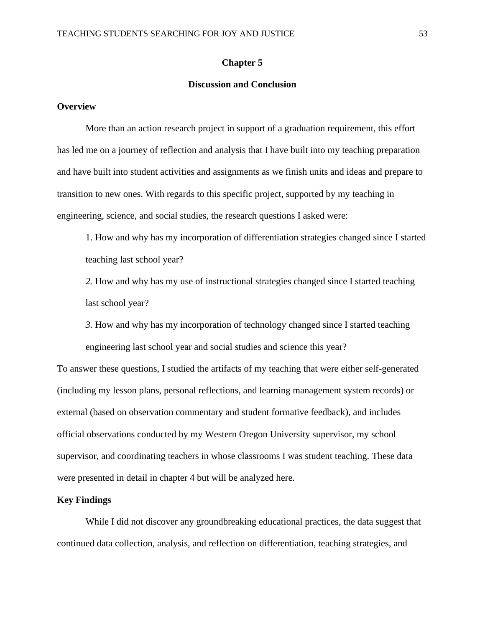# **Chapter 5**

# **Discussion and Conclusion**

#### **Overview**

More than an action research project in support of a graduation requirement, this effort has led me on a journey of reflection and analysis that I have built into my teaching preparation and have built into student activities and assignments as we finish units and ideas and prepare to transition to new ones. With regards to this specific project, supported by my teaching in engineering, science, and social studies, the research questions I asked were:

1. How and why has my incorporation of differentiation strategies changed since I started teaching last school year?

*2.* How and why has my use of instructional strategies changed since I started teaching last school year?

*3.* How and why has my incorporation of technology changed since I started teaching engineering last school year and social studies and science this year?

To answer these questions, I studied the artifacts of my teaching that were either self-generated (including my lesson plans, personal reflections, and learning management system records) or external (based on observation commentary and student formative feedback), and includes official observations conducted by my Western Oregon University supervisor, my school supervisor, and coordinating teachers in whose classrooms I was student teaching. These data were presented in detail in chapter 4 but will be analyzed here.

### **Key Findings**

While I did not discover any groundbreaking educational practices, the data suggest that continued data collection, analysis, and reflection on differentiation, teaching strategies, and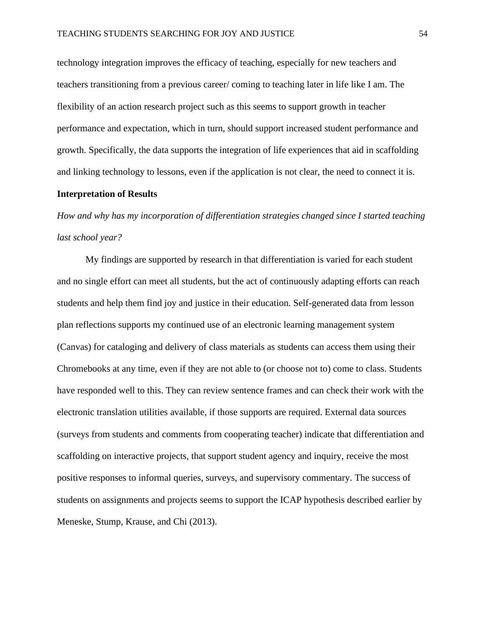technology integration improves the efficacy of teaching, especially for new teachers and teachers transitioning from a previous career/ coming to teaching later in life like I am. The flexibility of an action research project such as this seems to support growth in teacher performance and expectation, which in turn, should support increased student performance and growth. Specifically, the data supports the integration of life experiences that aid in scaffolding and linking technology to lessons, even if the application is not clear, the need to connect it is.

#### **Interpretation of Results**

*How and why has my incorporation of differentiation strategies changed since I started teaching last school year?* 

My findings are supported by research in that differentiation is varied for each student and no single effort can meet all students, but the act of continuously adapting efforts can reach students and help them find joy and justice in their education. Self-generated data from lesson plan reflections supports my continued use of an electronic learning management system (Canvas) for cataloging and delivery of class materials as students can access them using their Chromebooks at any time, even if they are not able to (or choose not to) come to class. Students have responded well to this. They can review sentence frames and can check their work with the electronic translation utilities available, if those supports are required. External data sources (surveys from students and comments from cooperating teacher) indicate that differentiation and scaffolding on interactive projects, that support student agency and inquiry, receive the most positive responses to informal queries, surveys, and supervisory commentary. The success of students on assignments and projects seems to support the ICAP hypothesis described earlier by Meneske, Stump, Krause, and Chi (2013).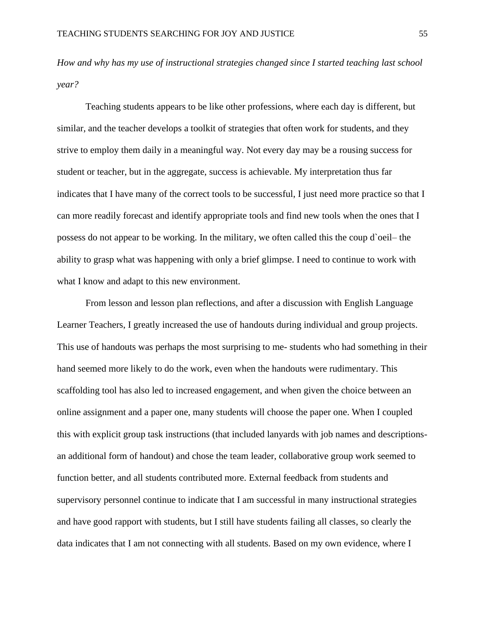*How and why has my use of instructional strategies changed since I started teaching last school year?* 

Teaching students appears to be like other professions, where each day is different, but similar, and the teacher develops a toolkit of strategies that often work for students, and they strive to employ them daily in a meaningful way. Not every day may be a rousing success for student or teacher, but in the aggregate, success is achievable. My interpretation thus far indicates that I have many of the correct tools to be successful, I just need more practice so that I can more readily forecast and identify appropriate tools and find new tools when the ones that I possess do not appear to be working. In the military, we often called this the coup d`oeil– the ability to grasp what was happening with only a brief glimpse. I need to continue to work with what I know and adapt to this new environment.

From lesson and lesson plan reflections, and after a discussion with English Language Learner Teachers, I greatly increased the use of handouts during individual and group projects. This use of handouts was perhaps the most surprising to me- students who had something in their hand seemed more likely to do the work, even when the handouts were rudimentary. This scaffolding tool has also led to increased engagement, and when given the choice between an online assignment and a paper one, many students will choose the paper one. When I coupled this with explicit group task instructions (that included lanyards with job names and descriptionsan additional form of handout) and chose the team leader, collaborative group work seemed to function better, and all students contributed more. External feedback from students and supervisory personnel continue to indicate that I am successful in many instructional strategies and have good rapport with students, but I still have students failing all classes, so clearly the data indicates that I am not connecting with all students. Based on my own evidence, where I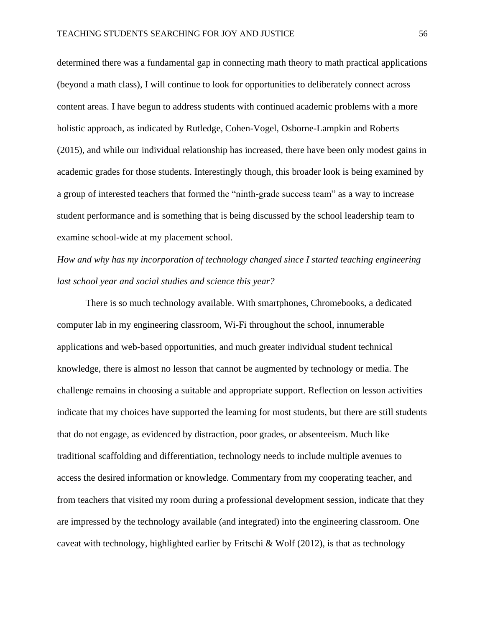determined there was a fundamental gap in connecting math theory to math practical applications (beyond a math class), I will continue to look for opportunities to deliberately connect across content areas. I have begun to address students with continued academic problems with a more holistic approach, as indicated by Rutledge, Cohen-Vogel, Osborne-Lampkin and Roberts (2015), and while our individual relationship has increased, there have been only modest gains in academic grades for those students. Interestingly though, this broader look is being examined by a group of interested teachers that formed the "ninth-grade success team" as a way to increase student performance and is something that is being discussed by the school leadership team to examine school-wide at my placement school.

# *How and why has my incorporation of technology changed since I started teaching engineering last school year and social studies and science this year?*

There is so much technology available. With smartphones, Chromebooks, a dedicated computer lab in my engineering classroom, Wi-Fi throughout the school, innumerable applications and web-based opportunities, and much greater individual student technical knowledge, there is almost no lesson that cannot be augmented by technology or media. The challenge remains in choosing a suitable and appropriate support. Reflection on lesson activities indicate that my choices have supported the learning for most students, but there are still students that do not engage, as evidenced by distraction, poor grades, or absenteeism. Much like traditional scaffolding and differentiation, technology needs to include multiple avenues to access the desired information or knowledge. Commentary from my cooperating teacher, and from teachers that visited my room during a professional development session, indicate that they are impressed by the technology available (and integrated) into the engineering classroom. One caveat with technology, highlighted earlier by Fritschi & Wolf (2012), is that as technology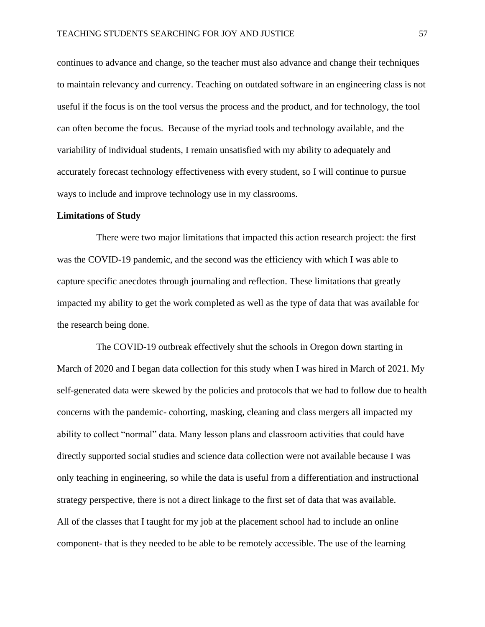continues to advance and change, so the teacher must also advance and change their techniques to maintain relevancy and currency. Teaching on outdated software in an engineering class is not useful if the focus is on the tool versus the process and the product, and for technology, the tool can often become the focus. Because of the myriad tools and technology available, and the variability of individual students, I remain unsatisfied with my ability to adequately and accurately forecast technology effectiveness with every student, so I will continue to pursue ways to include and improve technology use in my classrooms.

#### **Limitations of Study**

There were two major limitations that impacted this action research project: the first was the COVID-19 pandemic, and the second was the efficiency with which I was able to capture specific anecdotes through journaling and reflection. These limitations that greatly impacted my ability to get the work completed as well as the type of data that was available for the research being done.

The COVID-19 outbreak effectively shut the schools in Oregon down starting in March of 2020 and I began data collection for this study when I was hired in March of 2021. My self-generated data were skewed by the policies and protocols that we had to follow due to health concerns with the pandemic- cohorting, masking, cleaning and class mergers all impacted my ability to collect "normal" data. Many lesson plans and classroom activities that could have directly supported social studies and science data collection were not available because I was only teaching in engineering, so while the data is useful from a differentiation and instructional strategy perspective, there is not a direct linkage to the first set of data that was available. All of the classes that I taught for my job at the placement school had to include an online component- that is they needed to be able to be remotely accessible. The use of the learning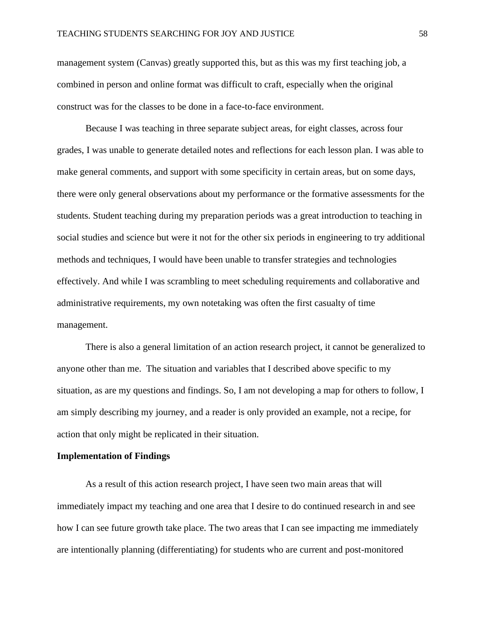management system (Canvas) greatly supported this, but as this was my first teaching job, a combined in person and online format was difficult to craft, especially when the original construct was for the classes to be done in a face-to-face environment.

Because I was teaching in three separate subject areas, for eight classes, across four grades, I was unable to generate detailed notes and reflections for each lesson plan. I was able to make general comments, and support with some specificity in certain areas, but on some days, there were only general observations about my performance or the formative assessments for the students. Student teaching during my preparation periods was a great introduction to teaching in social studies and science but were it not for the other six periods in engineering to try additional methods and techniques, I would have been unable to transfer strategies and technologies effectively. And while I was scrambling to meet scheduling requirements and collaborative and administrative requirements, my own notetaking was often the first casualty of time management.

There is also a general limitation of an action research project, it cannot be generalized to anyone other than me. The situation and variables that I described above specific to my situation, as are my questions and findings. So, I am not developing a map for others to follow, I am simply describing my journey, and a reader is only provided an example, not a recipe, for action that only might be replicated in their situation.

#### **Implementation of Findings**

As a result of this action research project, I have seen two main areas that will immediately impact my teaching and one area that I desire to do continued research in and see how I can see future growth take place. The two areas that I can see impacting me immediately are intentionally planning (differentiating) for students who are current and post-monitored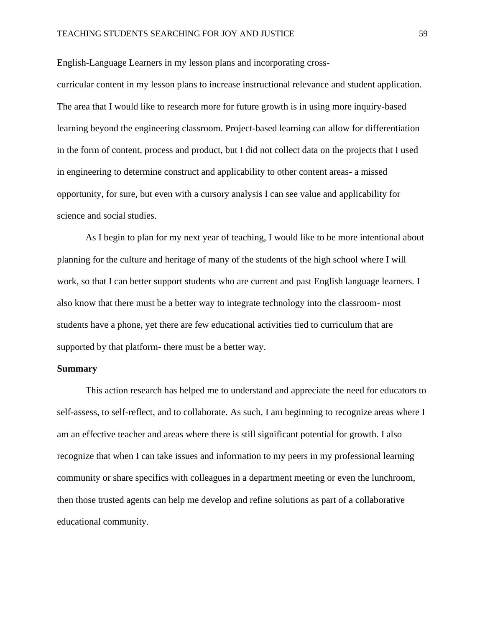English-Language Learners in my lesson plans and incorporating cross-

curricular content in my lesson plans to increase instructional relevance and student application. The area that I would like to research more for future growth is in using more inquiry-based learning beyond the engineering classroom. Project-based learning can allow for differentiation in the form of content, process and product, but I did not collect data on the projects that I used in engineering to determine construct and applicability to other content areas- a missed opportunity, for sure, but even with a cursory analysis I can see value and applicability for science and social studies.

As I begin to plan for my next year of teaching, I would like to be more intentional about planning for the culture and heritage of many of the students of the high school where I will work, so that I can better support students who are current and past English language learners. I also know that there must be a better way to integrate technology into the classroom- most students have a phone, yet there are few educational activities tied to curriculum that are supported by that platform- there must be a better way.

# **Summary**

This action research has helped me to understand and appreciate the need for educators to self-assess, to self-reflect, and to collaborate. As such, I am beginning to recognize areas where I am an effective teacher and areas where there is still significant potential for growth. I also recognize that when I can take issues and information to my peers in my professional learning community or share specifics with colleagues in a department meeting or even the lunchroom, then those trusted agents can help me develop and refine solutions as part of a collaborative educational community.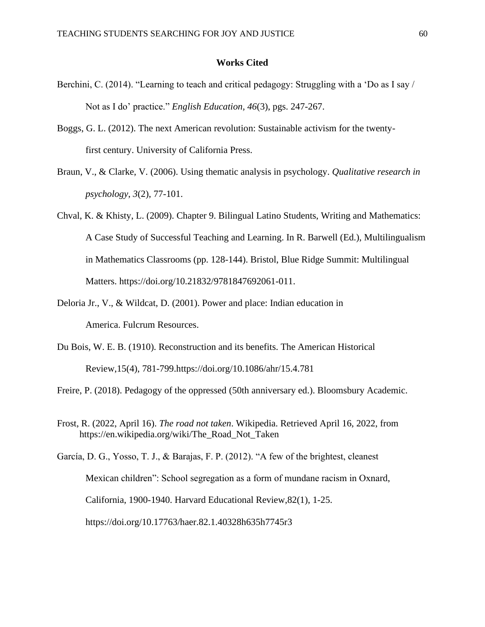# **Works Cited**

- Berchini, C. (2014). "Learning to teach and critical pedagogy: Struggling with a 'Do as I say / Not as I do' practice." *English Education, 46*(3), pgs. 247-267.
- Boggs, G. L. (2012). The next American revolution: Sustainable activism for the twentyfirst century. University of California Press.
- Braun, V., & Clarke, V. (2006). Using thematic analysis in psychology. *Qualitative research in psychology*, *3*(2), 77-101.
- Chval, K. & Khisty, L. (2009). Chapter 9. Bilingual Latino Students, Writing and Mathematics: A Case Study of Successful Teaching and Learning. In R. Barwell (Ed.), Multilingualism in Mathematics Classrooms (pp. 128-144). Bristol, Blue Ridge Summit: Multilingual Matters. https://doi.org/10.21832/9781847692061-011.
- Deloria Jr., V., & Wildcat, D. (2001). Power and place: Indian education in America. Fulcrum Resources.
- Du Bois, W. E. B. (1910). Reconstruction and its benefits. The American Historical Review,15(4), 781-799.https://doi.org/10.1086/ahr/15.4.781

Freire, P. (2018). Pedagogy of the oppressed (50th anniversary ed.). Bloomsbury Academic.

Frost, R. (2022, April 16). *The road not taken*. Wikipedia. Retrieved April 16, 2022, from https://en.wikipedia.org/wiki/The\_Road\_Not\_Taken

García, D. G., Yosso, T. J., & Barajas, F. P. (2012). "A few of the brightest, cleanest Mexican children": School segregation as a form of mundane racism in Oxnard, California, 1900-1940. Harvard Educational Review,82(1), 1-25. https://doi.org/10.17763/haer.82.1.40328h635h7745r3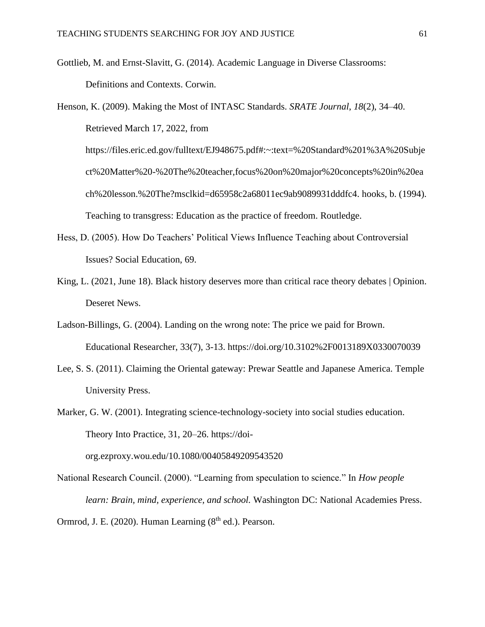Gottlieb, M. and Ernst-Slavitt, G. (2014). Academic Language in Diverse Classrooms: Definitions and Contexts. Corwin.

```
Henson, K. (2009). Making the Most of INTASC Standards. SRATE Journal, 18(2), 34–40. 
Retrieved March 17, 2022, from 
https://files.eric.ed.gov/fulltext/EJ948675.pdf#:~:text=%20Standard%201%3A%20Subje
ct%20Matter%20-%20The%20teacher,focus%20on%20major%20concepts%20in%20ea
ch%20lesson.%20The?msclkid=d65958c2a68011ec9ab9089931dddfc4. hooks, b. (1994). 
Teaching to transgress: Education as the practice of freedom. Routledge.
```
- Hess, D. (2005). How Do Teachers' Political Views Influence Teaching about Controversial Issues? Social Education, 69.
- King, L. (2021, June 18). Black history deserves more than critical race theory debates | Opinion. Deseret News.
- Ladson-Billings, G. (2004). Landing on the wrong note: The price we paid for Brown. Educational Researcher, 33(7), 3-13. https://doi.org/10.3102%2F0013189X0330070039
- Lee, S. S. (2011). Claiming the Oriental gateway: Prewar Seattle and Japanese America. Temple University Press.
- Marker, G. W. (2001). Integrating science-technology-society into social studies education. Theory Into Practice, 31, 20–26. https://doiorg.ezproxy.wou.edu/10.1080/00405849209543520
- National Research Council. (2000). "Learning from speculation to science." In *How people learn: Brain, mind, experience, and school.* Washington DC: National Academies Press.
- Ormrod, J. E. (2020). Human Learning  $(8<sup>th</sup>$  ed.). Pearson.